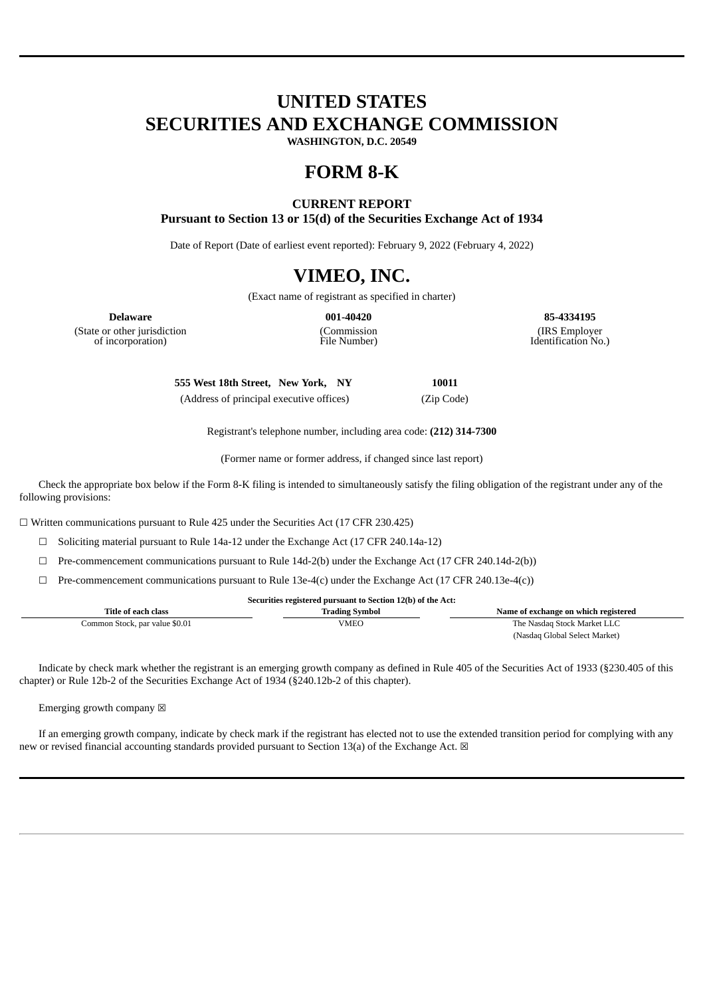# **UNITED STATES SECURITIES AND EXCHANGE COMMISSION**

**WASHINGTON, D.C. 20549**

# **FORM 8-K**

# **CURRENT REPORT**

**Pursuant to Section 13 or 15(d) of the Securities Exchange Act of 1934**

Date of Report (Date of earliest event reported): February 9, 2022 (February 4, 2022)

# **VIMEO, INC.**

(Exact name of registrant as specified in charter)

(State or other jurisdiction of incorporation)

(Commission File Number)

**Delaware 001-40420 85-4334195** (IRS Employer Identification No.)

> **555 West 18th Street, New York, NY 10011** (Address of principal executive offices) (Zip Code)

> > Registrant's telephone number, including area code: **(212) 314-7300**

(Former name or former address, if changed since last report)

Check the appropriate box below if the Form 8-K filing is intended to simultaneously satisfy the filing obligation of the registrant under any of the following provisions:

☐ Written communications pursuant to Rule 425 under the Securities Act (17 CFR 230.425)

 $\Box$  Soliciting material pursuant to Rule 14a-12 under the Exchange Act (17 CFR 240.14a-12)

 $\Box$  Pre-commencement communications pursuant to Rule 14d-2(b) under the Exchange Act (17 CFR 240.14d-2(b))

☐ Pre-commencement communications pursuant to Rule 13e-4(c) under the Exchange Act (17 CFR 240.13e-4(c))

| Securities registered pursuant to Section 12(b) of the Act: |                       |                                      |  |  |  |  |  |  |
|-------------------------------------------------------------|-----------------------|--------------------------------------|--|--|--|--|--|--|
| Title of each class                                         | <b>Trading Symbol</b> | Name of exchange on which registered |  |  |  |  |  |  |
| Common Stock, par value \$0.01                              | VMEO                  | The Nasdag Stock Market LLC          |  |  |  |  |  |  |
|                                                             |                       | (Nasdaq Global Select Market)        |  |  |  |  |  |  |

Indicate by check mark whether the registrant is an emerging growth company as defined in Rule 405 of the Securities Act of 1933 (§230.405 of this chapter) or Rule 12b-2 of the Securities Exchange Act of 1934 (§240.12b-2 of this chapter).

Emerging growth company  $\boxtimes$ 

If an emerging growth company, indicate by check mark if the registrant has elected not to use the extended transition period for complying with any new or revised financial accounting standards provided pursuant to Section 13(a) of the Exchange Act.  $\boxtimes$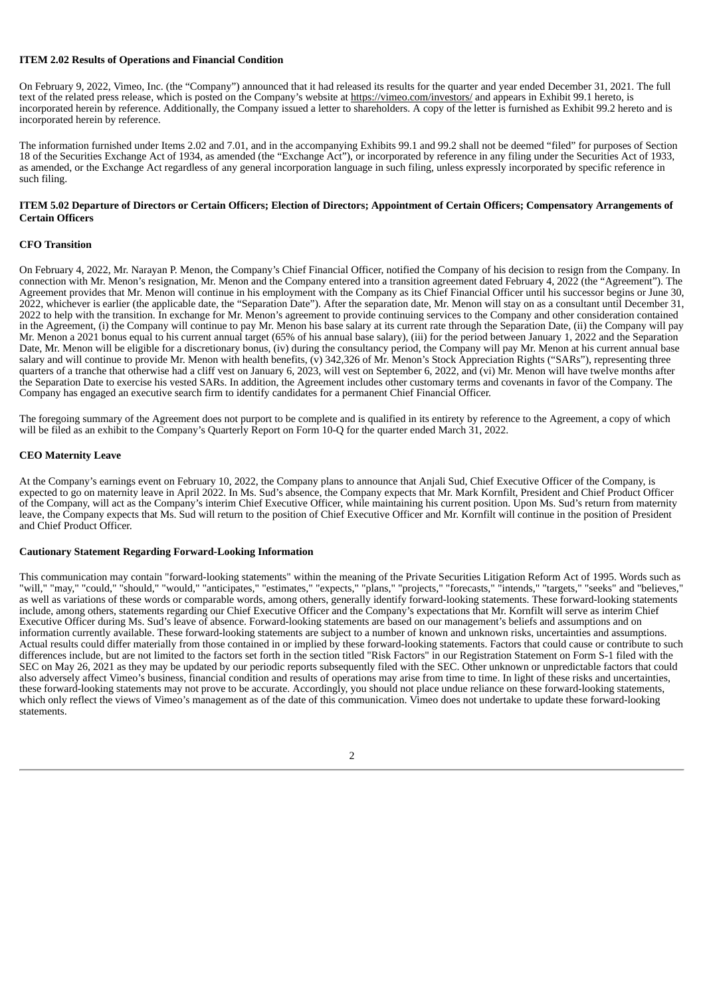## **ITEM 2.02 Results of Operations and Financial Condition**

On February 9, 2022, Vimeo, Inc. (the "Company") announced that it had released its results for the quarter and year ended December 31, 2021. The full text of the related press release, which is posted on the Company's website at https://vimeo.com/investors/ and appears in Exhibit 99.1 hereto, is incorporated herein by reference. Additionally, the Company issued a letter to shareholders. A copy of the letter is furnished as Exhibit 99.2 hereto and is incorporated herein by reference.

The information furnished under Items 2.02 and 7.01, and in the accompanying Exhibits 99.1 and 99.2 shall not be deemed "filed" for purposes of Section 18 of the Securities Exchange Act of 1934, as amended (the "Exchange Act"), or incorporated by reference in any filing under the Securities Act of 1933, as amended, or the Exchange Act regardless of any general incorporation language in such filing, unless expressly incorporated by specific reference in such filing.

## ITEM 5.02 Departure of Directors or Certain Officers; Election of Directors; Appointment of Certain Officers; Compensatory Arrangements of **Certain Officers**

## **CFO Transition**

On February 4, 2022, Mr. Narayan P. Menon, the Company's Chief Financial Officer, notified the Company of his decision to resign from the Company. In connection with Mr. Menon's resignation, Mr. Menon and the Company entered into a transition agreement dated February 4, 2022 (the "Agreement"). The Agreement provides that Mr. Menon will continue in his employment with the Company as its Chief Financial Officer until his successor begins or June 30, 2022, whichever is earlier (the applicable date, the "Separation Date"). After the separation date, Mr. Menon will stay on as a consultant until December 31, 2022 to help with the transition. In exchange for Mr. Menon's agreement to provide continuing services to the Company and other consideration contained in the Agreement, (i) the Company will continue to pay Mr. Menon his base salary at its current rate through the Separation Date, (ii) the Company will pay Mr. Menon a 2021 bonus equal to his current annual target (65% of his annual base salary), (iii) for the period between January 1, 2022 and the Separation Date, Mr. Menon will be eligible for a discretionary bonus, (iv) during the consultancy period, the Company will pay Mr. Menon at his current annual base salary and will continue to provide Mr. Menon with health benefits, (v) 342,326 of Mr. Menon's Stock Appreciation Rights ("SARs"), representing three quarters of a tranche that otherwise had a cliff vest on January 6, 2023, will vest on September 6, 2022, and (vi) Mr. Menon will have twelve months after the Separation Date to exercise his vested SARs. In addition, the Agreement includes other customary terms and covenants in favor of the Company. The Company has engaged an executive search firm to identify candidates for a permanent Chief Financial Officer.

The foregoing summary of the Agreement does not purport to be complete and is qualified in its entirety by reference to the Agreement, a copy of which will be filed as an exhibit to the Company's Quarterly Report on Form 10-Q for the quarter ended March 31, 2022.

### **CEO Maternity Leave**

At the Company's earnings event on February 10, 2022, the Company plans to announce that Anjali Sud, Chief Executive Officer of the Company, is expected to go on maternity leave in April 2022. In Ms. Sud's absence, the Company expects that Mr. Mark Kornfilt, President and Chief Product Officer of the Company, will act as the Company's interim Chief Executive Officer, while maintaining his current position. Upon Ms. Sud's return from maternity leave, the Company expects that Ms. Sud will return to the position of Chief Executive Officer and Mr. Kornfilt will continue in the position of President and Chief Product Officer.

## **Cautionary Statement Regarding Forward-Looking Information**

This communication may contain "forward-looking statements" within the meaning of the Private Securities Litigation Reform Act of 1995. Words such as "will," "may," "could," "should," "would," "anticipates," "estimates," "expects," "plans," "projects," "forecasts," "intends," "targets," "seeks" and "believes," as well as variations of these words or comparable words, among others, generally identify forward-looking statements. These forward-looking statements include, among others, statements regarding our Chief Executive Officer and the Company's expectations that Mr. Kornfilt will serve as interim Chief Executive Officer during Ms. Sud's leave of absence. Forward-looking statements are based on our management's beliefs and assumptions and on information currently available. These forward-looking statements are subject to a number of known and unknown risks, uncertainties and assumptions. Actual results could differ materially from those contained in or implied by these forward-looking statements. Factors that could cause or contribute to such differences include, but are not limited to the factors set forth in the section titled "Risk Factors" in our Registration Statement on Form S-1 filed with the SEC on May 26, 2021 as they may be updated by our periodic reports subsequently filed with the SEC. Other unknown or unpredictable factors that could also adversely affect Vimeo's business, financial condition and results of operations may arise from time to time. In light of these risks and uncertainties, these forward-looking statements may not prove to be accurate. Accordingly, you should not place undue reliance on these forward-looking statements, which only reflect the views of Vimeo's management as of the date of this communication. Vimeo does not undertake to update these forward-looking statements.

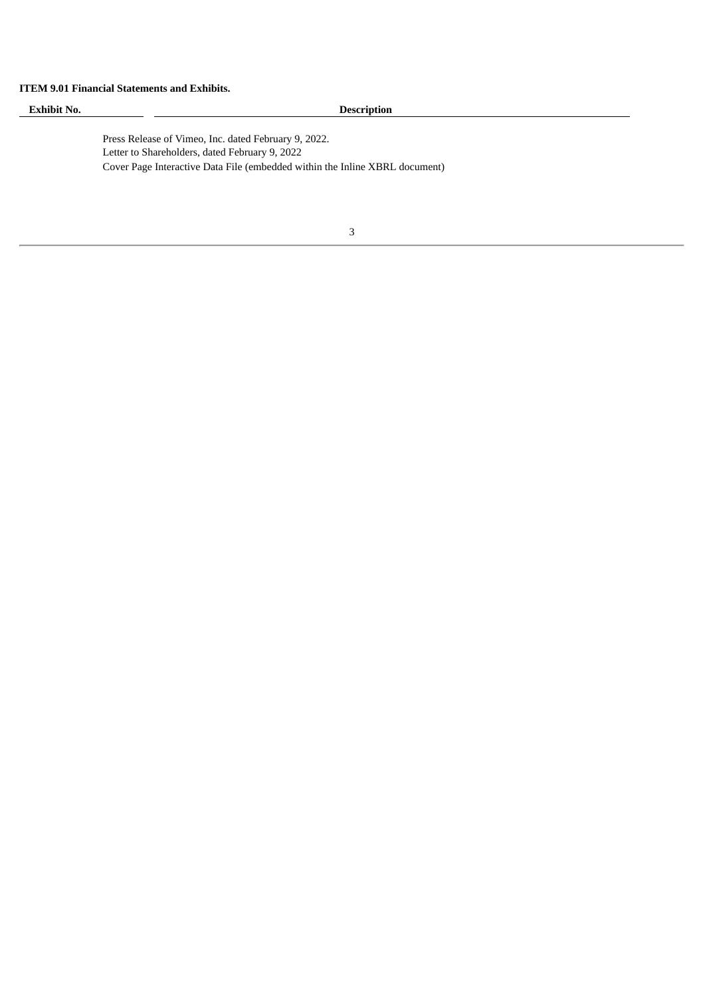# **ITEM 9.01 Financial Statements and Exhibits.**

| <b>Exhibit No.</b> |                                                | <b>Description</b>                                                          |  |  |  |
|--------------------|------------------------------------------------|-----------------------------------------------------------------------------|--|--|--|
|                    |                                                |                                                                             |  |  |  |
|                    |                                                | Press Release of Vimeo, Inc. dated February 9, 2022.                        |  |  |  |
|                    | Letter to Shareholders, dated February 9, 2022 |                                                                             |  |  |  |
|                    |                                                | Cover Page Interactive Data File (embedded within the Inline XBRL document) |  |  |  |
|                    |                                                |                                                                             |  |  |  |
|                    |                                                |                                                                             |  |  |  |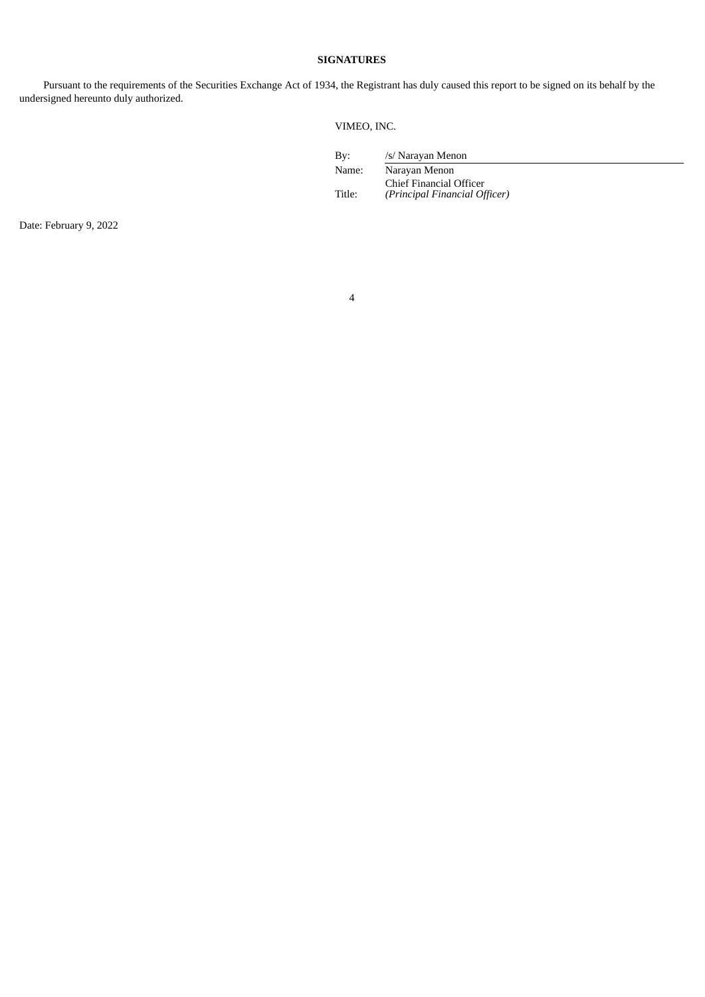# **SIGNATURES**

Pursuant to the requirements of the Securities Exchange Act of 1934, the Registrant has duly caused this report to be signed on its behalf by the undersigned hereunto duly authorized.

VIMEO, INC.

| Bv:    | /s/ Narayan Menon                                        |
|--------|----------------------------------------------------------|
| Name:  | Narayan Menon                                            |
| Title: | Chief Financial Officer<br>(Principal Financial Officer) |
|        |                                                          |

Date: February 9, 2022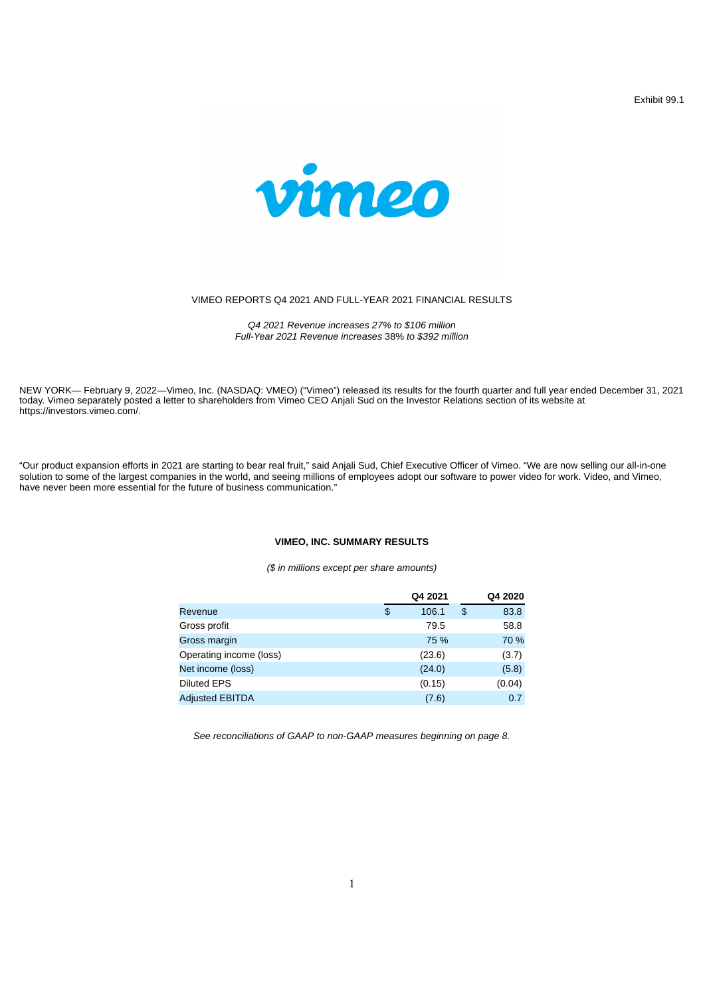Exhibit 99.1



## VIMEO REPORTS Q4 2021 AND FULL-YEAR 2021 FINANCIAL RESULTS

*Q4 2021 Revenue increases 27% to \$106 million Full-Year 2021 Revenue increases* 38% *to \$392 million*

NEW YORK— February 9, 2022—Vimeo, Inc. (NASDAQ: VMEO) ("Vimeo") released its results for the fourth quarter and full year ended December 31, 2021 today. Vimeo separately posted a letter to shareholders from Vimeo CEO Anjali Sud on the Investor Relations section of its website at https://investors.vimeo.com/.

"Our product expansion efforts in 2021 are starting to bear real fruit," said Anjali Sud, Chief Executive Officer of Vimeo. "We are now selling our all-in-one solution to some of the largest companies in the world, and seeing millions of employees adopt our software to power video for work. Video, and Vimeo, have never been more essential for the future of business communication."

## **VIMEO, INC. SUMMARY RESULTS**

*(\$ in millions except per share amounts)*

|                         | Q4 2021     | O4 2020    |
|-------------------------|-------------|------------|
| Revenue                 | \$<br>106.1 | \$<br>83.8 |
| Gross profit            | 79.5        | 58.8       |
| Gross margin            | 75 %        | 70 %       |
| Operating income (loss) | (23.6)      | (3.7)      |
| Net income (loss)       | (24.0)      | (5.8)      |
| <b>Diluted EPS</b>      | (0.15)      | (0.04)     |
| <b>Adjusted EBITDA</b>  | (7.6)       | 0.7        |

*See reconciliations of GAAP to non-GAAP measures beginning on page 8.*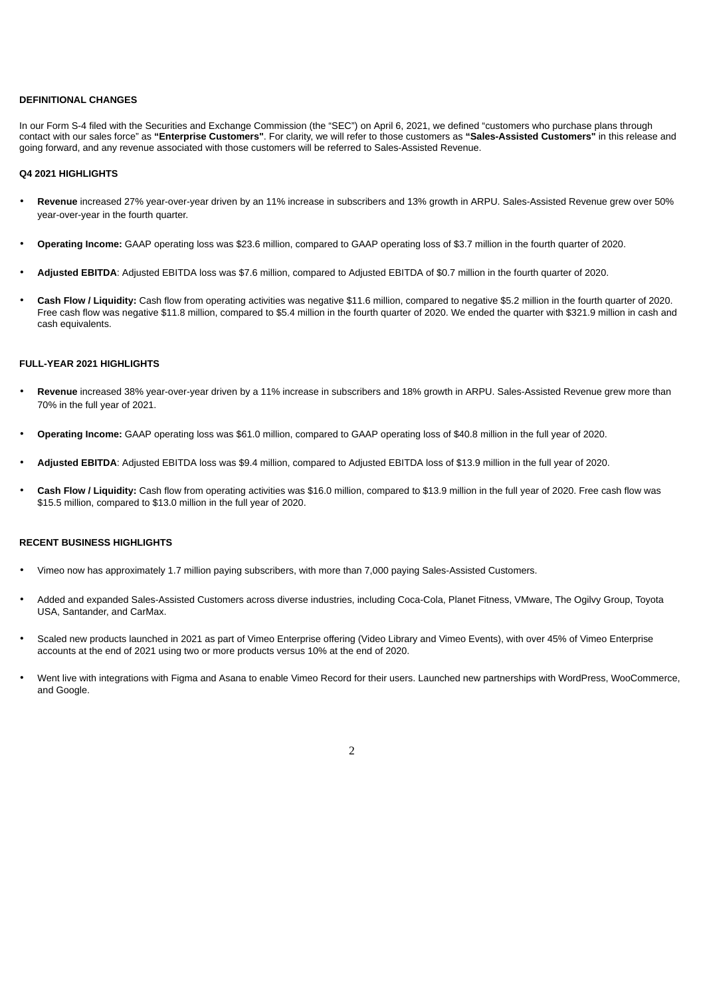### **DEFINITIONAL CHANGES**

In our Form S-4 filed with the Securities and Exchange Commission (the "SEC") on April 6, 2021, we defined "customers who purchase plans through contact with our sales force" as **"Enterprise Customers"**. For clarity, we will refer to those customers as **"Sales-Assisted Customers"** in this release and going forward, and any revenue associated with those customers will be referred to Sales-Assisted Revenue.

#### **Q4 2021 HIGHLIGHTS**

- **Revenue** increased 27% year-over-year driven by an 11% increase in subscribers and 13% growth in ARPU. Sales-Assisted Revenue grew over 50% year-over-year in the fourth quarter.
- **Operating Income:** GAAP operating loss was \$23.6 million, compared to GAAP operating loss of \$3.7 million in the fourth quarter of 2020.
- **Adjusted EBITDA**: Adjusted EBITDA loss was \$7.6 million, compared to Adjusted EBITDA of \$0.7 million in the fourth quarter of 2020.
- **Cash Flow / Liquidity:** Cash flow from operating activities was negative \$11.6 million, compared to negative \$5.2 million in the fourth quarter of 2020. Free cash flow was negative \$11.8 million, compared to \$5.4 million in the fourth quarter of 2020. We ended the quarter with \$321.9 million in cash and cash equivalents.

### **FULL-YEAR 2021 HIGHLIGHTS**

- **Revenue** increased 38% year-over-year driven by a 11% increase in subscribers and 18% growth in ARPU. Sales-Assisted Revenue grew more than 70% in the full year of 2021.
- **Operating Income:** GAAP operating loss was \$61.0 million, compared to GAAP operating loss of \$40.8 million in the full year of 2020.
- **Adjusted EBITDA**: Adjusted EBITDA loss was \$9.4 million, compared to Adjusted EBITDA loss of \$13.9 million in the full year of 2020.
- **Cash Flow / Liquidity:** Cash flow from operating activities was \$16.0 million, compared to \$13.9 million in the full year of 2020. Free cash flow was \$15.5 million, compared to \$13.0 million in the full year of 2020.

# **RECENT BUSINESS HIGHLIGHTS**

- Vimeo now has approximately 1.7 million paying subscribers, with more than 7,000 paying Sales-Assisted Customers.
- Added and expanded Sales-Assisted Customers across diverse industries, including Coca-Cola, Planet Fitness, VMware, The Ogilvy Group, Toyota USA, Santander, and CarMax.
- Scaled new products launched in 2021 as part of Vimeo Enterprise offering (Video Library and Vimeo Events), with over 45% of Vimeo Enterprise accounts at the end of 2021 using two or more products versus 10% at the end of 2020.
- Went live with integrations with Figma and Asana to enable Vimeo Record for their users. Launched new partnerships with WordPress, WooCommerce, and Google.

 $\overline{2}$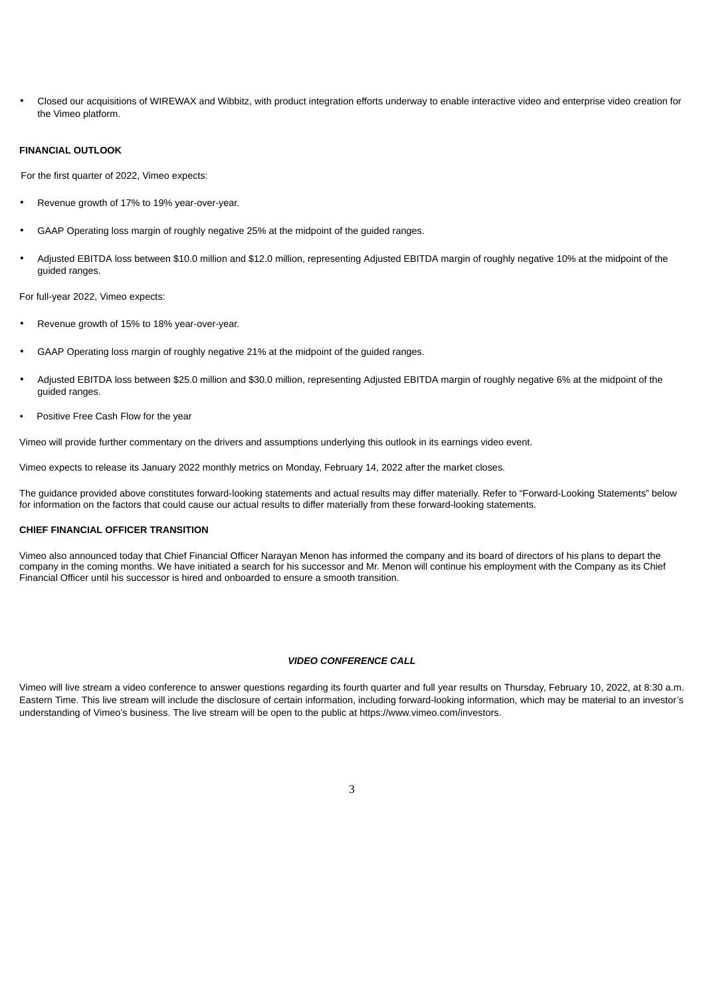• Closed our acquisitions of WIREWAX and Wibbitz, with product integration efforts underway to enable interactive video and enterprise video creation for the Vimeo platform.

# **FINANCIAL OUTLOOK**

For the first quarter of 2022, Vimeo expects:

- Revenue growth of 17% to 19% year-over-year.
- GAAP Operating loss margin of roughly negative 25% at the midpoint of the guided ranges.
- Adjusted EBITDA loss between \$10.0 million and \$12.0 million, representing Adjusted EBITDA margin of roughly negative 10% at the midpoint of the guided ranges.

For full-year 2022, Vimeo expects:

- Revenue growth of 15% to 18% year-over-year.
- GAAP Operating loss margin of roughly negative 21% at the midpoint of the guided ranges.
- Adjusted EBITDA loss between \$25.0 million and \$30.0 million, representing Adjusted EBITDA margin of roughly negative 6% at the midpoint of the guided ranges.
- Positive Free Cash Flow for the year

Vimeo will provide further commentary on the drivers and assumptions underlying this outlook in its earnings video event.

Vimeo expects to release its January 2022 monthly metrics on Monday, February 14, 2022 after the market closes.

The guidance provided above constitutes forward-looking statements and actual results may differ materially. Refer to "Forward-Looking Statements" below for information on the factors that could cause our actual results to differ materially from these forward-looking statements.

# **CHIEF FINANCIAL OFFICER TRANSITION**

Vimeo also announced today that Chief Financial Officer Narayan Menon has informed the company and its board of directors of his plans to depart the company in the coming months. We have initiated a search for his successor and Mr. Menon will continue his employment with the Company as its Chief Financial Officer until his successor is hired and onboarded to ensure a smooth transition.

#### *VIDEO CONFERENCE CALL*

Vimeo will live stream a video conference to answer questions regarding its fourth quarter and full year results on Thursday, February 10, 2022, at 8:30 a.m. Eastern Time. This live stream will include the disclosure of certain information, including forward-looking information, which may be material to an investor's understanding of Vimeo's business. The live stream will be open to the public at https://www.vimeo.com/investors.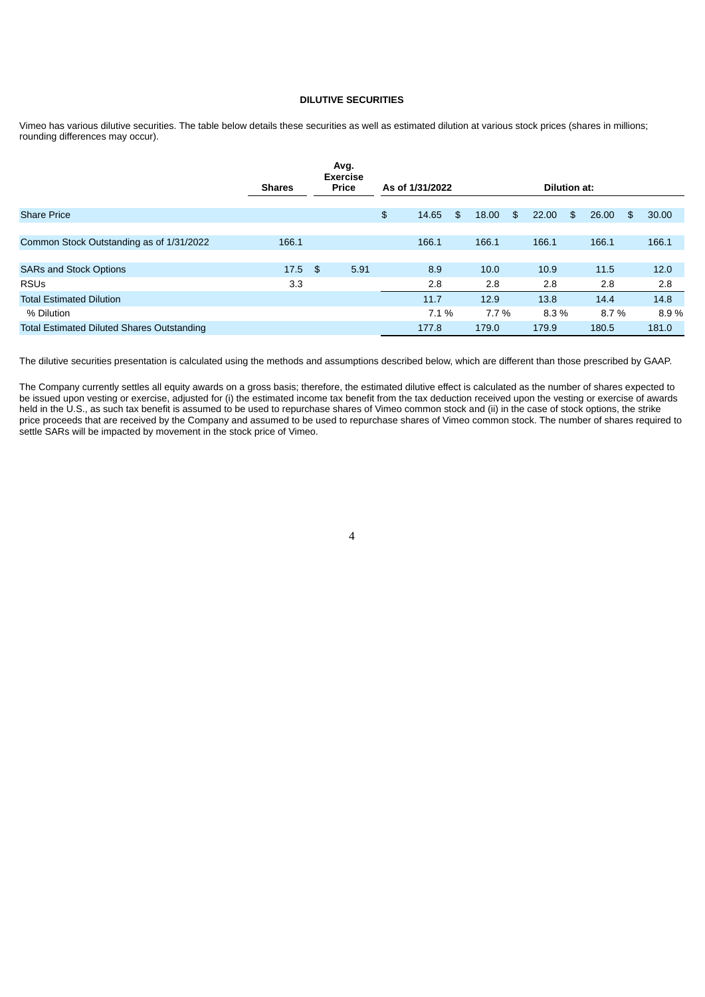## **DILUTIVE SECURITIES**

Vimeo has various dilutive securities. The table below details these securities as well as estimated dilution at various stock prices (shares in millions; rounding differences may occur).

|                                                   |               |                | Avg.<br><b>Exercise</b> |                 |         |    |       |    |              |    |       |             |
|---------------------------------------------------|---------------|----------------|-------------------------|-----------------|---------|----|-------|----|--------------|----|-------|-------------|
|                                                   | <b>Shares</b> |                | Price                   | As of 1/31/2022 |         |    |       |    | Dilution at: |    |       |             |
| <b>Share Price</b>                                |               |                |                         | \$              | 14.65   | \$ | 18.00 | \$ | 22.00        | \$ | 26.00 | \$<br>30.00 |
| Common Stock Outstanding as of 1/31/2022          | 166.1         |                |                         |                 | 166.1   |    | 166.1 |    | 166.1        |    | 166.1 | 166.1       |
| <b>SARs and Stock Options</b>                     | 17.5          | $\mathfrak{F}$ | 5.91                    |                 | 8.9     |    | 10.0  |    | 10.9         |    | 11.5  | 12.0        |
| <b>RSUs</b>                                       | 3.3           |                |                         |                 | 2.8     |    | 2.8   |    | 2.8          |    | 2.8   | 2.8         |
| <b>Total Estimated Dilution</b>                   |               |                |                         |                 | 11.7    |    | 12.9  |    | 13.8         |    | 14.4  | 14.8        |
| % Dilution                                        |               |                |                         |                 | $7.1\%$ |    | 7.7 % |    | 8.3%         |    | 8.7%  | 8.9%        |
| <b>Total Estimated Diluted Shares Outstanding</b> |               |                |                         |                 | 177.8   |    | 179.0 |    | 179.9        |    | 180.5 | 181.0       |

The dilutive securities presentation is calculated using the methods and assumptions described below, which are different than those prescribed by GAAP.

The Company currently settles all equity awards on a gross basis; therefore, the estimated dilutive effect is calculated as the number of shares expected to be issued upon vesting or exercise, adjusted for (i) the estimated income tax benefit from the tax deduction received upon the vesting or exercise of awards held in the U.S., as such tax benefit is assumed to be used to repurchase shares of Vimeo common stock and (ii) in the case of stock options, the strike price proceeds that are received by the Company and assumed to be used to repurchase shares of Vimeo common stock. The number of shares required to perceived by the Company and assumed to be used to repurchase shares of Vi settle SARs will be impacted by movement in the stock price of Vimeo.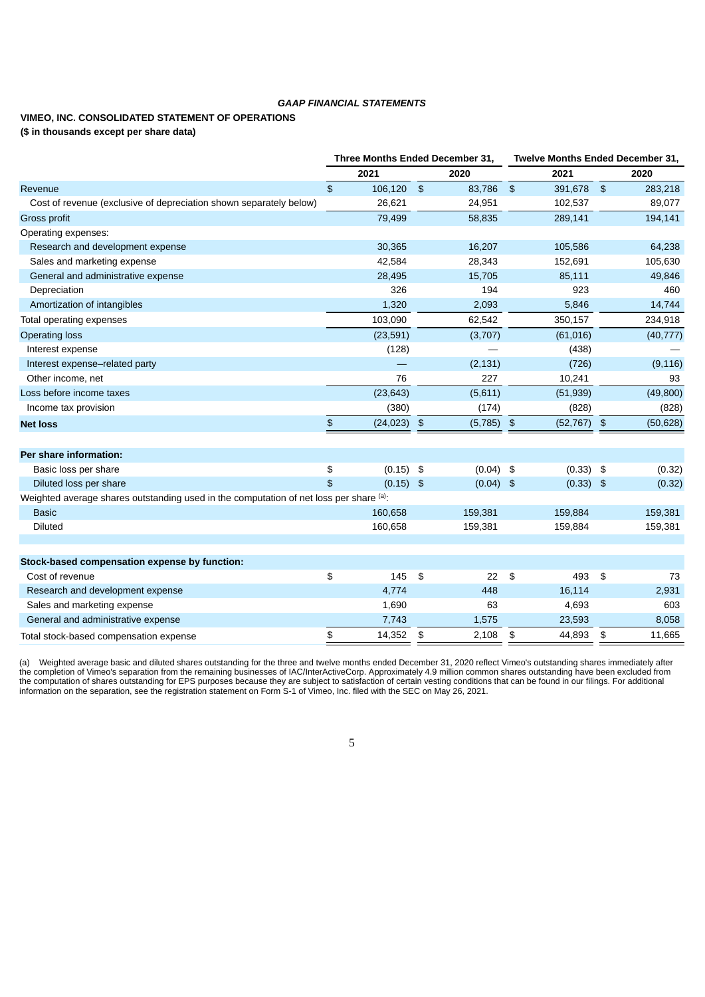# *GAAP FINANCIAL STATEMENTS*

# **VIMEO, INC. CONSOLIDATED STATEMENT OF OPERATIONS (\$ in thousands except per share data)**

|                                                                                        | Three Months Ended December 31, |             |               |             |               | <b>Twelve Months Ended December 31,</b> |    |              |  |
|----------------------------------------------------------------------------------------|---------------------------------|-------------|---------------|-------------|---------------|-----------------------------------------|----|--------------|--|
|                                                                                        |                                 | 2021        |               | 2020        |               | 2021                                    |    | 2020         |  |
| Revenue                                                                                | \$                              | 106,120     | $\frac{3}{2}$ | 83,786      | $\frac{4}{5}$ | 391,678 \$                              |    | 283,218      |  |
| Cost of revenue (exclusive of depreciation shown separately below)                     |                                 | 26,621      |               | 24,951      |               | 102,537                                 |    | 89,077       |  |
| Gross profit                                                                           |                                 | 79,499      |               | 58,835      |               | 289,141                                 |    | 194,141      |  |
| Operating expenses:                                                                    |                                 |             |               |             |               |                                         |    |              |  |
| Research and development expense                                                       |                                 | 30,365      |               | 16,207      |               | 105,586                                 |    | 64,238       |  |
| Sales and marketing expense                                                            |                                 | 42,584      |               | 28,343      |               | 152,691                                 |    | 105,630      |  |
| General and administrative expense                                                     |                                 | 28,495      |               | 15,705      |               | 85,111                                  |    | 49,846       |  |
| Depreciation                                                                           |                                 | 326         |               | 194         |               | 923                                     |    | 460          |  |
| Amortization of intangibles                                                            |                                 | 1,320       |               | 2,093       |               | 5,846                                   |    | 14,744       |  |
| Total operating expenses                                                               |                                 | 103,090     |               | 62,542      |               | 350,157                                 |    | 234,918      |  |
| <b>Operating loss</b>                                                                  |                                 | (23, 591)   |               | (3,707)     |               | (61, 016)                               |    | (40, 777)    |  |
| Interest expense                                                                       |                                 | (128)       |               |             |               | (438)                                   |    |              |  |
| Interest expense-related party                                                         |                                 |             |               | (2, 131)    |               | (726)                                   |    | (9, 116)     |  |
| Other income, net                                                                      |                                 | 76          |               | 227         |               | 10,241                                  |    | 93           |  |
| Loss before income taxes                                                               |                                 | (23, 643)   |               | (5,611)     |               | (51, 939)                               |    | (49, 800)    |  |
| Income tax provision                                                                   |                                 | (380)       |               | (174)       |               | (828)                                   |    | (828)        |  |
| <b>Net loss</b>                                                                        | \$                              | (24, 023)   | $\frac{3}{2}$ | (5,785)     | $\frac{1}{2}$ | $(52, 767)$ \$                          |    | (50, 628)    |  |
|                                                                                        |                                 |             |               |             |               |                                         |    |              |  |
| Per share information:                                                                 |                                 |             |               |             |               |                                         |    |              |  |
| Basic loss per share                                                                   | \$                              | $(0.15)$ \$ |               | $(0.04)$ \$ |               | $(0.33)$ \$                             |    | (0.32)       |  |
| Diluted loss per share                                                                 | \$                              | $(0.15)$ \$ |               | $(0.04)$ \$ |               | $(0.33)$ \$                             |    | (0.32)       |  |
| Weighted average shares outstanding used in the computation of net loss per share (a): |                                 |             |               |             |               |                                         |    |              |  |
| <b>Basic</b>                                                                           |                                 | 160,658     |               | 159,381     |               | 159,884                                 |    | 159,381      |  |
| <b>Diluted</b>                                                                         |                                 | 160,658     |               | 159,381     |               | 159,884                                 |    | 159,381      |  |
|                                                                                        |                                 |             |               |             |               |                                         |    |              |  |
|                                                                                        |                                 |             |               |             |               |                                         |    |              |  |
| Stock-based compensation expense by function:<br>Cost of revenue                       | \$                              | 145         | \$            | 22          | \$            | 493                                     | \$ | 73           |  |
|                                                                                        |                                 | 4,774       |               | 448         |               | 16,114                                  |    |              |  |
| Research and development expense<br>Sales and marketing expense                        |                                 | 1,690       |               | 63          |               | 4,693                                   |    | 2,931<br>603 |  |
| General and administrative expense                                                     |                                 | 7,743       |               | 1,575       |               | 23,593                                  |    | 8,058        |  |
|                                                                                        | \$                              | 14,352      | \$            | 2,108       | \$            | 44.893 \$                               |    |              |  |
| Total stock-based compensation expense                                                 |                                 |             |               |             |               |                                         |    | 11,665       |  |

(a) Weighted average basic and diluted shares outstanding for the three and twelve months ended December 31, 2020 reflect Vimeo's outstanding shares immediately after the completion of Vimeo's separation from the remaining businesses of IAC/InterActiveCorp. Approximately 4.9 million common shares outstanding have been excluded from the computation of shares outstanding for EPS purposes because they are subject to satisfaction of certain vesting conditions that can be found in our filings. For additional information on the separation, see the registration statement on Form S-1 of Vimeo, Inc. filed with the SEC on May 26, 2021.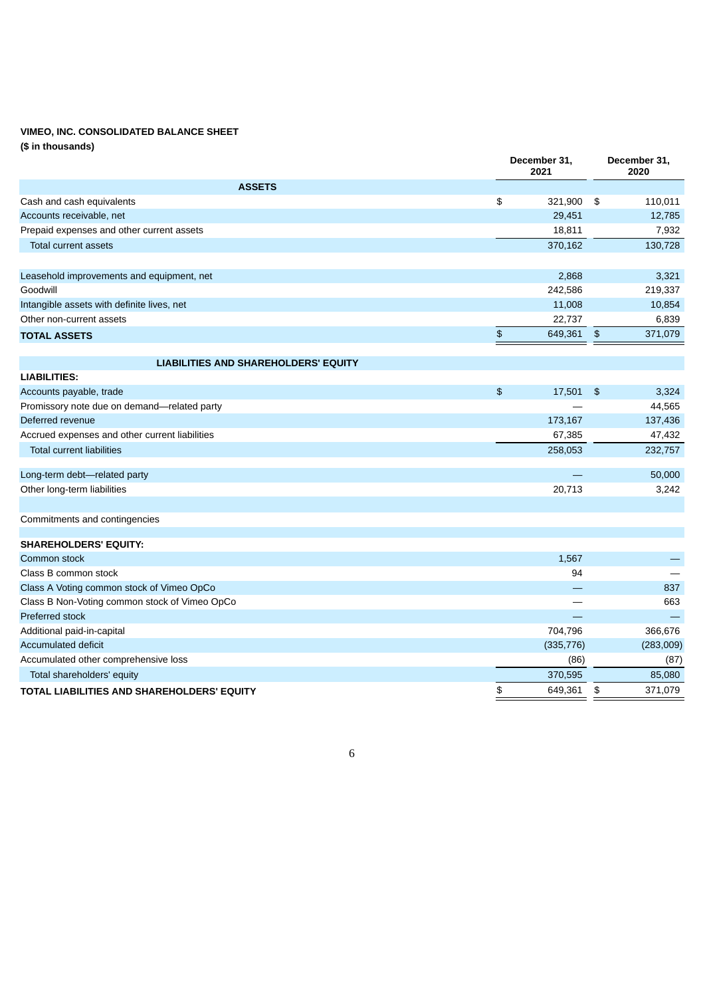# **VIMEO, INC. CONSOLIDATED BALANCE SHEET**

**(\$ in thousands)**

|                                                | December 31,<br>2021     | December 31,<br>2020     |
|------------------------------------------------|--------------------------|--------------------------|
| <b>ASSETS</b>                                  |                          |                          |
| Cash and cash equivalents                      | \$<br>321,900            | 110,011<br>-\$           |
| Accounts receivable, net                       | 29,451                   | 12,785                   |
| Prepaid expenses and other current assets      | 18,811                   | 7,932                    |
| Total current assets                           | 370,162                  | 130,728                  |
|                                                |                          |                          |
| Leasehold improvements and equipment, net      | 2,868                    | 3,321                    |
| Goodwill                                       | 242,586                  | 219,337                  |
| Intangible assets with definite lives, net     | 11,008                   | 10,854                   |
| Other non-current assets                       | 22,737                   | 6,839                    |
| <b>TOTAL ASSETS</b>                            | \$<br>649,361            | $\frac{4}{5}$<br>371,079 |
|                                                |                          |                          |
| <b>LIABILITIES AND SHAREHOLDERS' EQUITY</b>    |                          |                          |
| <b>LIABILITIES:</b>                            |                          |                          |
| Accounts payable, trade                        | $\mathfrak{D}$<br>17,501 | 3,324<br>$\frac{2}{3}$   |
| Promissory note due on demand-related party    |                          | 44,565                   |
| Deferred revenue                               | 173,167                  | 137,436                  |
| Accrued expenses and other current liabilities | 67,385                   | 47,432                   |
| <b>Total current liabilities</b>               | 258,053                  | 232,757                  |
| Long-term debt-related party                   |                          | 50,000                   |
| Other long-term liabilities                    | 20,713                   | 3,242                    |
|                                                |                          |                          |
| Commitments and contingencies                  |                          |                          |
| <b>SHAREHOLDERS' EQUITY:</b>                   |                          |                          |
| Common stock                                   | 1.567                    |                          |
| Class B common stock                           | 94                       |                          |
| Class A Voting common stock of Vimeo OpCo      |                          | 837                      |
| Class B Non-Voting common stock of Vimeo OpCo  |                          | 663                      |
| Preferred stock                                |                          |                          |
| Additional paid-in-capital                     | 704,796                  | 366,676                  |
| <b>Accumulated deficit</b>                     | (335, 776)               | (283,009)                |
| Accumulated other comprehensive loss           | (86)                     | (87)                     |
| Total shareholders' equity                     | 370,595                  | 85,080                   |
| TOTAL LIABILITIES AND SHAREHOLDERS' EQUITY     | \$<br>649,361            | \$<br>371,079            |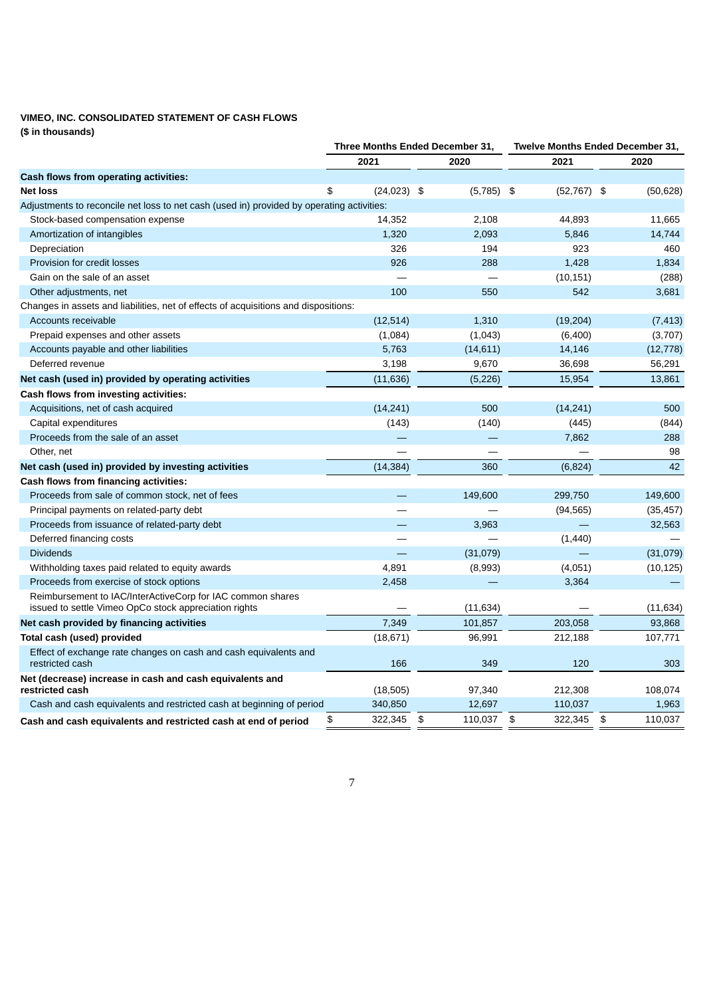# **VIMEO, INC. CONSOLIDATED STATEMENT OF CASH FLOWS**

**(\$ in thousands)**

|                                                                                                                     |                     | Three Months Ended December 31, | Twelve Months Ended December 31, |               |  |  |
|---------------------------------------------------------------------------------------------------------------------|---------------------|---------------------------------|----------------------------------|---------------|--|--|
|                                                                                                                     | 2021                | 2020                            | 2021                             | 2020          |  |  |
| Cash flows from operating activities:                                                                               |                     |                                 |                                  |               |  |  |
| <b>Net loss</b>                                                                                                     | \$<br>$(24,023)$ \$ | $(5,785)$ \$                    | $(52, 767)$ \$                   | (50, 628)     |  |  |
| Adjustments to reconcile net loss to net cash (used in) provided by operating activities:                           |                     |                                 |                                  |               |  |  |
| Stock-based compensation expense                                                                                    | 14,352              | 2,108                           | 44,893                           | 11,665        |  |  |
| Amortization of intangibles                                                                                         | 1,320               | 2,093                           | 5,846                            | 14,744        |  |  |
| Depreciation                                                                                                        | 326                 | 194                             | 923                              | 460           |  |  |
| Provision for credit losses                                                                                         | 926                 | 288                             | 1,428                            | 1,834         |  |  |
| Gain on the sale of an asset                                                                                        |                     |                                 | (10, 151)                        | (288)         |  |  |
| Other adjustments, net                                                                                              | 100                 | 550                             | 542                              | 3,681         |  |  |
| Changes in assets and liabilities, net of effects of acquisitions and dispositions:                                 |                     |                                 |                                  |               |  |  |
| Accounts receivable                                                                                                 | (12, 514)           | 1,310                           | (19, 204)                        | (7, 413)      |  |  |
| Prepaid expenses and other assets                                                                                   | (1,084)             | (1,043)                         | (6,400)                          | (3,707)       |  |  |
| Accounts payable and other liabilities                                                                              | 5,763               | (14, 611)                       | 14,146                           | (12, 778)     |  |  |
| Deferred revenue                                                                                                    | 3,198               | 9,670                           | 36,698                           | 56,291        |  |  |
| Net cash (used in) provided by operating activities                                                                 | (11, 636)           | (5, 226)                        | 15,954                           | 13,861        |  |  |
| Cash flows from investing activities:                                                                               |                     |                                 |                                  |               |  |  |
| Acquisitions, net of cash acquired                                                                                  | (14, 241)           | 500                             | (14, 241)                        | 500           |  |  |
| Capital expenditures                                                                                                | (143)               | (140)                           | (445)                            | (844)         |  |  |
| Proceeds from the sale of an asset                                                                                  |                     |                                 | 7,862                            | 288           |  |  |
| Other, net                                                                                                          |                     |                                 |                                  | 98            |  |  |
| Net cash (used in) provided by investing activities                                                                 | (14, 384)           | 360                             | (6,824)                          | 42            |  |  |
| Cash flows from financing activities:                                                                               |                     |                                 |                                  |               |  |  |
| Proceeds from sale of common stock, net of fees                                                                     |                     | 149,600                         | 299,750                          | 149,600       |  |  |
| Principal payments on related-party debt                                                                            |                     |                                 | (94, 565)                        | (35, 457)     |  |  |
| Proceeds from issuance of related-party debt                                                                        |                     | 3,963                           |                                  | 32,563        |  |  |
| Deferred financing costs                                                                                            |                     |                                 | (1,440)                          |               |  |  |
| <b>Dividends</b>                                                                                                    |                     | (31,079)                        |                                  | (31,079)      |  |  |
| Withholding taxes paid related to equity awards                                                                     | 4,891               | (8,993)                         | (4,051)                          | (10, 125)     |  |  |
| Proceeds from exercise of stock options                                                                             | 2,458               |                                 | 3,364                            |               |  |  |
| Reimbursement to IAC/InterActiveCorp for IAC common shares<br>issued to settle Vimeo OpCo stock appreciation rights |                     | (11, 634)                       |                                  | (11, 634)     |  |  |
| Net cash provided by financing activities                                                                           | 7,349               | 101,857                         | 203,058                          | 93,868        |  |  |
| Total cash (used) provided                                                                                          | (18, 671)           | 96,991                          | 212,188                          | 107,771       |  |  |
| Effect of exchange rate changes on cash and cash equivalents and<br>restricted cash                                 | 166                 | 349                             | 120                              | 303           |  |  |
| Net (decrease) increase in cash and cash equivalents and<br>restricted cash                                         | (18, 505)           | 97,340                          | 212,308                          | 108,074       |  |  |
| Cash and cash equivalents and restricted cash at beginning of period                                                | 340,850             | 12,697                          | 110,037                          | 1,963         |  |  |
| Cash and cash equivalents and restricted cash at end of period                                                      | 322,345<br>\$       | \$<br>110,037                   | \$<br>322,345                    | \$<br>110,037 |  |  |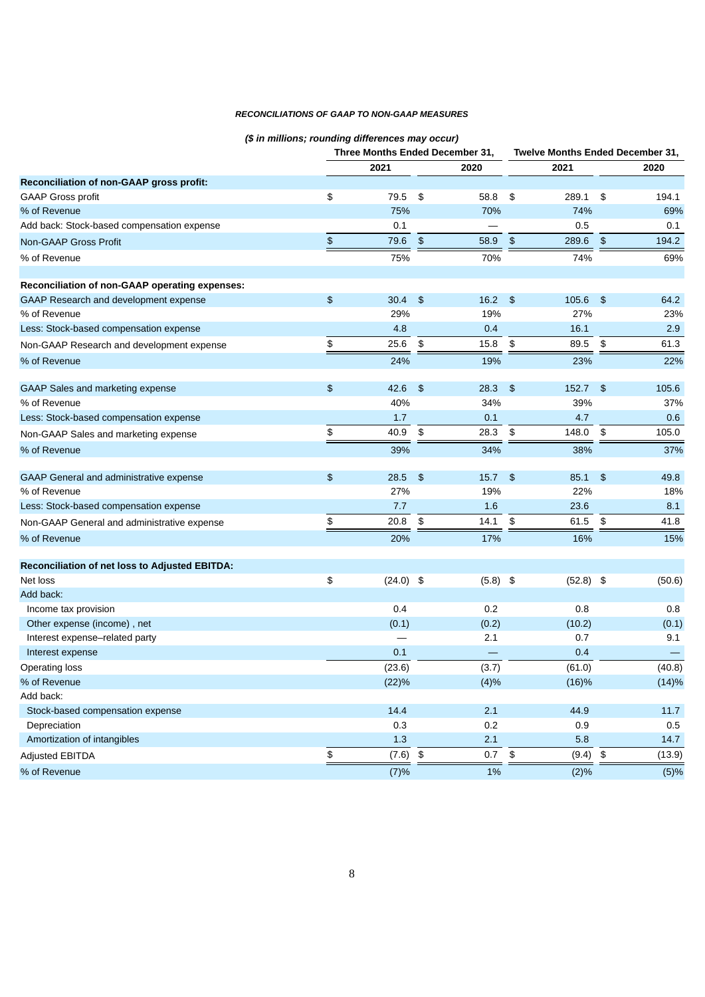# *RECONCILIATIONS OF GAAP TO NON-GAAP MEASURES*

# *(\$ in millions; rounding differences may occur)*

|                                                |               | Three Months Ended December 31, |               |                 | <b>Twelve Months Ended December 31,</b> |             |               |          |
|------------------------------------------------|---------------|---------------------------------|---------------|-----------------|-----------------------------------------|-------------|---------------|----------|
|                                                |               | 2021                            |               | 2020            |                                         | 2021        |               | 2020     |
| Reconciliation of non-GAAP gross profit:       |               |                                 |               |                 |                                         |             |               |          |
| <b>GAAP Gross profit</b>                       | \$            | 79.5                            | \$            | 58.8            | \$                                      | 289.1       | \$            | 194.1    |
| % of Revenue                                   |               | 75%                             |               | 70%             |                                         | 74%         |               | 69%      |
| Add back: Stock-based compensation expense     |               | 0.1                             |               |                 |                                         | 0.5         |               | 0.1      |
| Non-GAAP Gross Profit                          | $\frac{4}{5}$ | 79.6                            | $\,$          | 58.9            | $\frac{2}{3}$                           | 289.6       | \$            | 194.2    |
| % of Revenue                                   |               | 75%                             |               | 70%             |                                         | 74%         |               | 69%      |
| Reconciliation of non-GAAP operating expenses: |               |                                 |               |                 |                                         |             |               |          |
| GAAP Research and development expense          | $\frac{2}{3}$ | 30.4                            | - \$          | $16.2 \quad$ \$ |                                         | 105.6       | \$            | 64.2     |
| % of Revenue                                   |               | 29%                             |               | 19%             |                                         | 27%         |               | 23%      |
| Less: Stock-based compensation expense         |               | 4.8                             |               | 0.4             |                                         | 16.1        |               | 2.9      |
| Non-GAAP Research and development expense      | \$            | 25.6                            | \$            | 15.8            | \$                                      | 89.5        | \$            | 61.3     |
| % of Revenue                                   |               | 24%                             |               | 19%             |                                         | 23%         |               | 22%      |
| GAAP Sales and marketing expense               | $\frac{2}{3}$ | 42.6                            | \$            | 28.3            | \$                                      | 152.7       | $\frac{3}{2}$ | 105.6    |
| % of Revenue                                   |               | 40%                             |               | 34%             |                                         | 39%         |               | 37%      |
| Less: Stock-based compensation expense         |               | 1.7                             |               | 0.1             |                                         | 4.7         |               | 0.6      |
| Non-GAAP Sales and marketing expense           | \$            | 40.9                            | \$            | 28.3            | \$                                      | 148.0       | \$            | 105.0    |
| % of Revenue                                   |               | 39%                             |               | 34%             |                                         | 38%         |               | 37%      |
| GAAP General and administrative expense        | $\frac{2}{3}$ | 28.5                            | $\frac{1}{2}$ | 15.7            | $\frac{3}{2}$                           | $85.1$ \$   |               | 49.8     |
| % of Revenue                                   |               | 27%                             |               | 19%             |                                         | 22%         |               | 18%      |
| Less: Stock-based compensation expense         |               | 7.7                             |               | 1.6             |                                         | 23.6        |               | 8.1      |
| Non-GAAP General and administrative expense    | \$            | 20.8                            | \$            | 14.1            | \$                                      | 61.5        | \$            | 41.8     |
| % of Revenue                                   |               | 20%                             |               | 17%             |                                         | 16%         |               | 15%      |
| Reconciliation of net loss to Adjusted EBITDA: |               |                                 |               |                 |                                         |             |               |          |
| Net loss                                       | \$            | $(24.0)$ \$                     |               | $(5.8)$ \$      |                                         | $(52.8)$ \$ |               | (50.6)   |
| Add back:                                      |               |                                 |               |                 |                                         |             |               |          |
| Income tax provision                           |               | 0.4                             |               | 0.2             |                                         | 0.8         |               | 0.8      |
| Other expense (income), net                    |               | (0.1)                           |               | (0.2)           |                                         | (10.2)      |               | (0.1)    |
| Interest expense-related party                 |               |                                 |               | 2.1             |                                         | 0.7         |               | 9.1      |
| Interest expense                               |               | 0.1                             |               |                 |                                         | 0.4         |               |          |
| <b>Operating loss</b>                          |               | (23.6)                          |               | (3.7)           |                                         | (61.0)      |               | (40.8)   |
| % of Revenue                                   |               | (22)%                           |               | (4)%            |                                         | (16)%       |               | (14)%    |
| Add back:                                      |               |                                 |               |                 |                                         |             |               |          |
| Stock-based compensation expense               |               | 14.4                            |               | $2.1\,$         |                                         | 44.9        |               | $11.7\,$ |
| Depreciation                                   |               | 0.3                             |               | 0.2             |                                         | 0.9         |               | $0.5\,$  |
| Amortization of intangibles                    |               | $1.3\,$                         |               | 2.1             |                                         | 5.8         |               | 14.7     |
| Adjusted EBITDA                                | \$            | (7.6)                           | $\, \, \$$    | 0.7             | $\pmb{\mathfrak{s}}$                    | (9.4)       | $\,$          | (13.9)   |
| % of Revenue                                   |               | (7)%                            |               | $1\%$           |                                         | (2)%        |               | (5)%     |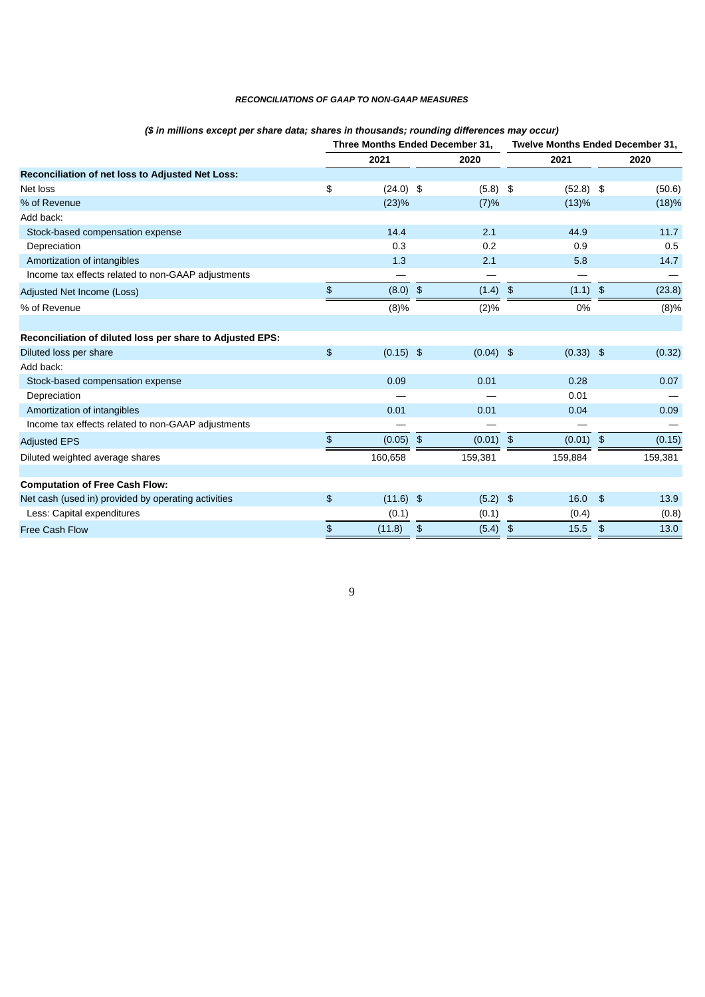# *RECONCILIATIONS OF GAAP TO NON-GAAP MEASURES*

|                                                           |                | Three Months Ended December 31, |               |             | <b>Twelve Months Ended December 31,</b> |             |                |         |
|-----------------------------------------------------------|----------------|---------------------------------|---------------|-------------|-----------------------------------------|-------------|----------------|---------|
|                                                           |                | 2021                            |               | 2020        |                                         | 2021        |                | 2020    |
| Reconciliation of net loss to Adjusted Net Loss:          |                |                                 |               |             |                                         |             |                |         |
| Net loss                                                  | \$             | $(24.0)$ \$                     |               | $(5.8)$ \$  |                                         | $(52.8)$ \$ |                | (50.6)  |
| % of Revenue                                              |                | (23)%                           |               | (7)%        |                                         | (13)%       |                | (18)%   |
| Add back:                                                 |                |                                 |               |             |                                         |             |                |         |
| Stock-based compensation expense                          |                | 14.4                            |               | 2.1         |                                         | 44.9        |                | 11.7    |
| Depreciation                                              |                | 0.3                             |               | 0.2         |                                         | 0.9         |                | 0.5     |
| Amortization of intangibles                               |                | 1.3                             |               | 2.1         |                                         | 5.8         |                | 14.7    |
| Income tax effects related to non-GAAP adjustments        |                |                                 |               |             |                                         |             |                |         |
| Adjusted Net Income (Loss)                                | \$             | (8.0)                           | $\frac{3}{2}$ | (1.4)       | \$                                      | (1.1)       | \$             | (23.8)  |
| % of Revenue                                              |                | (8)%                            |               | (2)%        |                                         | 0%          |                | (8)%    |
|                                                           |                |                                 |               |             |                                         |             |                |         |
| Reconciliation of diluted loss per share to Adjusted EPS: |                |                                 |               |             |                                         |             |                |         |
| Diluted loss per share                                    | $\mathfrak{P}$ | $(0.15)$ \$                     |               | $(0.04)$ \$ |                                         | $(0.33)$ \$ |                | (0.32)  |
| Add back:                                                 |                |                                 |               |             |                                         |             |                |         |
| Stock-based compensation expense                          |                | 0.09                            |               | 0.01        |                                         | 0.28        |                | 0.07    |
| Depreciation                                              |                |                                 |               |             |                                         | 0.01        |                |         |
| Amortization of intangibles                               |                | 0.01                            |               | 0.01        |                                         | 0.04        |                | 0.09    |
| Income tax effects related to non-GAAP adjustments        |                |                                 |               |             |                                         |             |                |         |
| <b>Adjusted EPS</b>                                       | $\mathfrak{P}$ | $(0.05)$ \$                     |               | (0.01)      | $\frac{4}{5}$                           | (0.01)      | $\frac{1}{2}$  | (0.15)  |
| Diluted weighted average shares                           |                | 160,658                         |               | 159,381     |                                         | 159,884     |                | 159,381 |
|                                                           |                |                                 |               |             |                                         |             |                |         |
| <b>Computation of Free Cash Flow:</b>                     |                |                                 |               |             |                                         |             |                |         |
| Net cash (used in) provided by operating activities       | \$             | $(11.6)$ \$                     |               | $(5.2)$ \$  |                                         | 16.0        | $\frac{3}{2}$  | 13.9    |
| Less: Capital expenditures                                |                | (0.1)                           |               | (0.1)       |                                         | (0.4)       |                | (0.8)   |
| <b>Free Cash Flow</b>                                     | \$             | (11.8)                          | \$            | $(5.4)$ \$  |                                         | 15.5        | $\mathfrak{S}$ | 13.0    |

# *(\$ in millions except per share data; shares in thousands; rounding differences may occur)*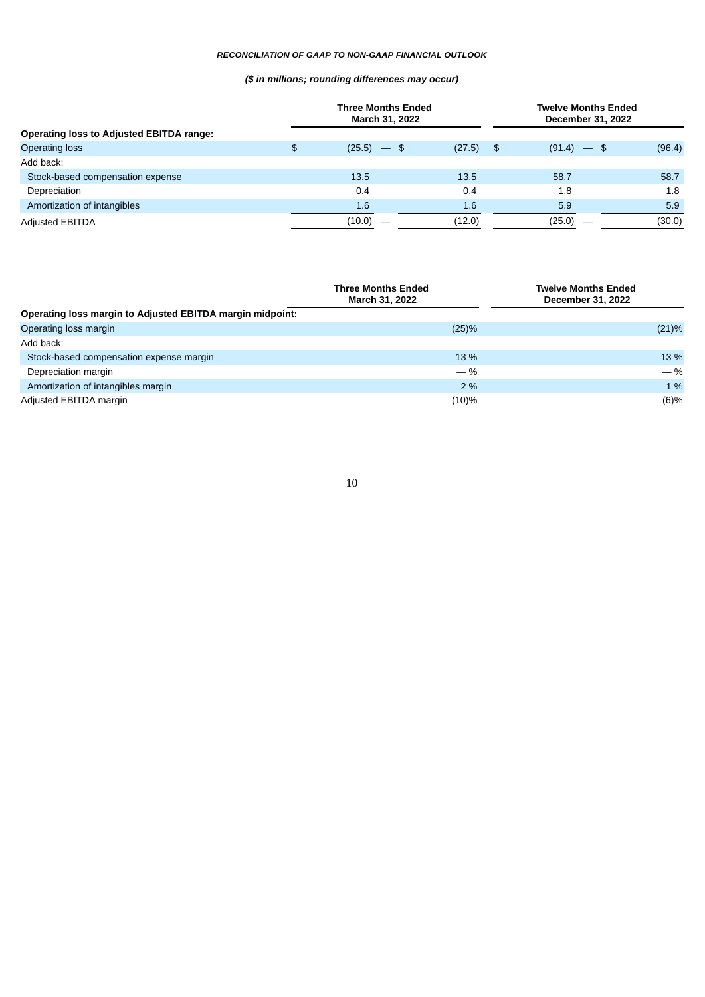# *RECONCILIATION OF GAAP TO NON-GAAP FINANCIAL OUTLOOK*

# *(\$ in millions; rounding differences may occur)*

|                                                 |        | <b>Three Months Ended</b><br>March 31, 2022 | <b>Twelve Months Ended</b><br>December 31, 2022 |        |  |  |  |  |
|-------------------------------------------------|--------|---------------------------------------------|-------------------------------------------------|--------|--|--|--|--|
| <b>Operating loss to Adjusted EBITDA range:</b> |        |                                             |                                                 |        |  |  |  |  |
| <b>Operating loss</b>                           | \$     | $(25.5)$ $-$ \$<br>(27.5)                   | $(91.4) -$ \$<br>-\$                            | (96.4) |  |  |  |  |
| Add back:                                       |        |                                             |                                                 |        |  |  |  |  |
| Stock-based compensation expense                | 13.5   | 13.5                                        | 58.7                                            | 58.7   |  |  |  |  |
| Depreciation                                    | 0.4    | 0.4                                         | 1.8                                             | 1.8    |  |  |  |  |
| Amortization of intangibles                     | 1.6    | 1.6                                         | 5.9                                             | 5.9    |  |  |  |  |
| <b>Adjusted EBITDA</b>                          | (10.0) | (12.0)                                      | (25.0)                                          | (30.0) |  |  |  |  |

|                                                           | <b>Three Months Ended</b><br><b>March 31, 2022</b> | <b>Twelve Months Ended</b><br>December 31, 2022 |
|-----------------------------------------------------------|----------------------------------------------------|-------------------------------------------------|
| Operating loss margin to Adjusted EBITDA margin midpoint: |                                                    |                                                 |
| Operating loss margin                                     | (25)%                                              | (21)%                                           |
| Add back:                                                 |                                                    |                                                 |
| Stock-based compensation expense margin                   | 13 %                                               | 13 %                                            |
| Depreciation margin                                       | $-$ %                                              | $-$ %                                           |
| Amortization of intangibles margin                        | 2%                                                 | 1 %                                             |
| Adjusted EBITDA margin                                    | (10)%                                              | (6)%                                            |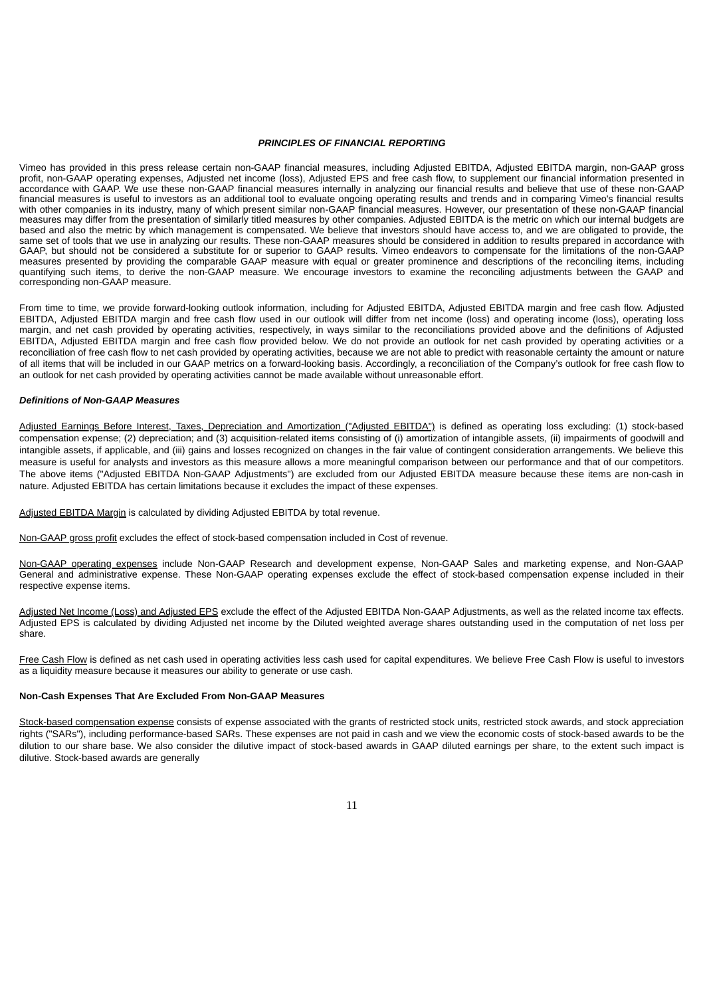#### *PRINCIPLES OF FINANCIAL REPORTING*

Vimeo has provided in this press release certain non-GAAP financial measures, including Adjusted EBITDA, Adjusted EBITDA margin, non-GAAP gross profit, non-GAAP operating expenses, Adjusted net income (loss), Adjusted EPS and free cash flow, to supplement our financial information presented in accordance with GAAP. We use these non-GAAP financial measures internally in analyzing our financial results and believe that use of these non-GAAP financial measures is useful to investors as an additional tool to evaluate ongoing operating results and trends and in comparing Vimeo's financial results with other companies in its industry, many of which present similar non-GAAP financial measures. However, our presentation of these non-GAAP financial measures may differ from the presentation of similarly titled measures by other companies. Adjusted EBITDA is the metric on which our internal budgets are based and also the metric by which management is compensated. We believe that investors should have access to, and we are obligated to provide, the same set of tools that we use in analyzing our results. These non-GAAP measures should be considered in addition to results prepared in accordance with GAAP, but should not be considered a substitute for or superior to GAAP results. Vimeo endeavors to compensate for the limitations of the non-GAAP measures presented by providing the comparable GAAP measure with equal or greater prominence and descriptions of the reconciling items, including quantifying such items, to derive the non-GAAP measure. We encourage investors to examine the reconciling adjustments between the GAAP and corresponding non-GAAP measure.

From time to time, we provide forward-looking outlook information, including for Adjusted EBITDA, Adjusted EBITDA margin and free cash flow. Adjusted EBITDA, Adjusted EBITDA margin and free cash flow used in our outlook will differ from net income (loss) and operating income (loss), operating loss margin, and net cash provided by operating activities, respectively, in ways similar to the reconciliations provided above and the definitions of Adjusted EBITDA, Adjusted EBITDA margin and free cash flow provided below. We do not provide an outlook for net cash provided by operating activities or a reconciliation of free cash flow to net cash provided by operating activities, because we are not able to predict with reasonable certainty the amount or nature of all items that will be included in our GAAP metrics on a forward-looking basis. Accordingly, a reconciliation of the Company's outlook for free cash flow to an outlook for net cash provided by operating activities cannot be made available without unreasonable effort.

#### *Definitions of Non-GAAP Measures*

Adjusted Earnings Before Interest, Taxes, Depreciation and Amortization ("Adjusted EBITDA") is defined as operating loss excluding: (1) stock-based compensation expense; (2) depreciation; and (3) acquisition-related items consisting of (i) amortization of intangible assets, (ii) impairments of goodwill and intangible assets, if applicable, and (iii) gains and losses recognized on changes in the fair value of contingent consideration arrangements. We believe this measure is useful for analysts and investors as this measure allows a more meaningful comparison between our performance and that of our competitors. The above items ("Adjusted EBITDA Non-GAAP Adjustments") are excluded from our Adjusted EBITDA measure because these items are non-cash in nature. Adjusted EBITDA has certain limitations because it excludes the impact of these expenses.

Adjusted EBITDA Margin is calculated by dividing Adjusted EBITDA by total revenue.

Non-GAAP gross profit excludes the effect of stock-based compensation included in Cost of revenue.

Non-GAAP operating expenses include Non-GAAP Research and development expense, Non-GAAP Sales and marketing expense, and Non-GAAP General and administrative expense. These Non-GAAP operating expenses exclude the effect of stock-based compensation expense included in their respective expense items.

Adjusted Net Income (Loss) and Adjusted EPS exclude the effect of the Adjusted EBITDA Non-GAAP Adjustments, as well as the related income tax effects. Adjusted EPS is calculated by dividing Adjusted net income by the Diluted weighted average shares outstanding used in the computation of net loss per share.

Free Cash Flow is defined as net cash used in operating activities less cash used for capital expenditures. We believe Free Cash Flow is useful to investors as a liquidity measure because it measures our ability to generate or use cash.

#### **Non-Cash Expenses That Are Excluded From Non-GAAP Measures**

Stock-based compensation expense consists of expense associated with the grants of restricted stock units, restricted stock awards, and stock appreciation rights ("SARs"), including performance-based SARs. These expenses are not paid in cash and we view the economic costs of stock-based awards to be the dilution to our share base. We also consider the dilutive impact of stock-based awards in GAAP diluted earnings per share, to the extent such impact is dilutive. Stock-based awards are generally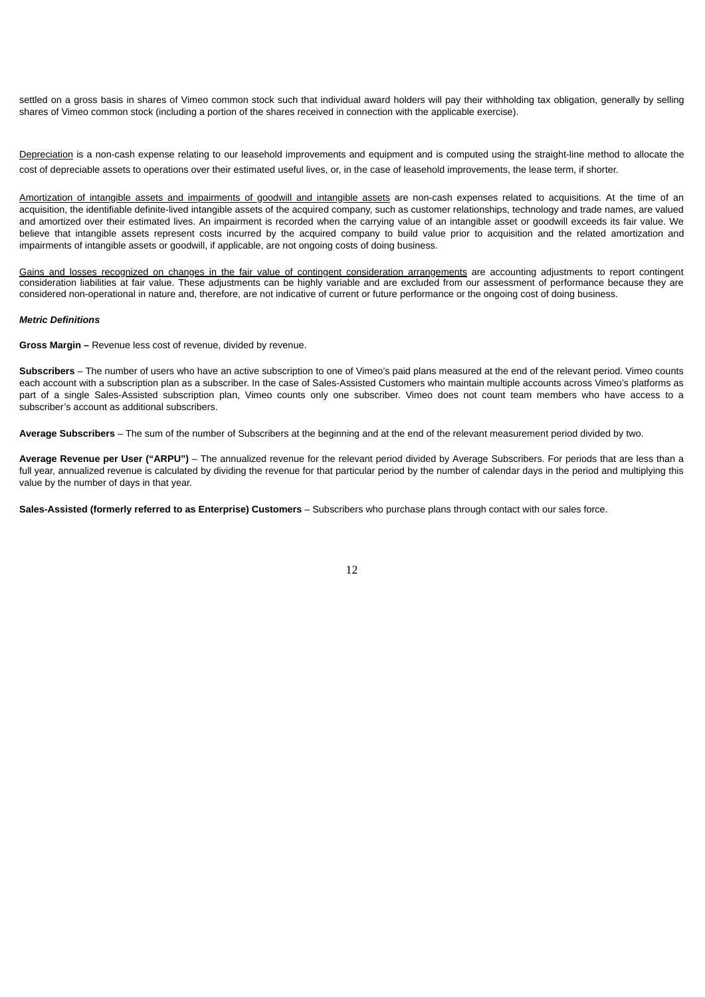settled on a gross basis in shares of Vimeo common stock such that individual award holders will pay their withholding tax obligation, generally by selling shares of Vimeo common stock (including a portion of the shares received in connection with the applicable exercise).

Depreciation is a non-cash expense relating to our leasehold improvements and equipment and is computed using the straight-line method to allocate the cost of depreciable assets to operations over their estimated useful lives, or, in the case of leasehold improvements, the lease term, if shorter.

Amortization of intangible assets and impairments of goodwill and intangible assets are non-cash expenses related to acquisitions. At the time of an acquisition, the identifiable definite-lived intangible assets of the acquired company, such as customer relationships, technology and trade names, are valued and amortized over their estimated lives. An impairment is recorded when the carrying value of an intangible asset or goodwill exceeds its fair value. We believe that intangible assets represent costs incurred by the acquired company to build value prior to acquisition and the related amortization and impairments of intangible assets or goodwill, if applicable, are not ongoing costs of doing business.

Gains and losses recognized on changes in the fair value of contingent consideration arrangements are accounting adjustments to report contingent consideration liabilities at fair value. These adjustments can be highly variable and are excluded from our assessment of performance because they are considered non-operational in nature and, therefore, are not indicative of current or future performance or the ongoing cost of doing business.

# *Metric Definitions*

**Gross Margin –** Revenue less cost of revenue, divided by revenue.

**Subscribers** – The number of users who have an active subscription to one of Vimeo's paid plans measured at the end of the relevant period. Vimeo counts each account with a subscription plan as a subscriber. In the case of Sales-Assisted Customers who maintain multiple accounts across Vimeo's platforms as part of a single Sales-Assisted subscription plan, Vimeo counts only one subscriber. Vimeo does not count team members who have access to a subscriber's account as additional subscribers.

**Average Subscribers** – The sum of the number of Subscribers at the beginning and at the end of the relevant measurement period divided by two.

**Average Revenue per User ("ARPU")** – The annualized revenue for the relevant period divided by Average Subscribers. For periods that are less than a full year, annualized revenue is calculated by dividing the revenue for that particular period by the number of calendar days in the period and multiplying this value by the number of days in that year.

**Sales-Assisted (formerly referred to as Enterprise) Customers** – Subscribers who purchase plans through contact with our sales force.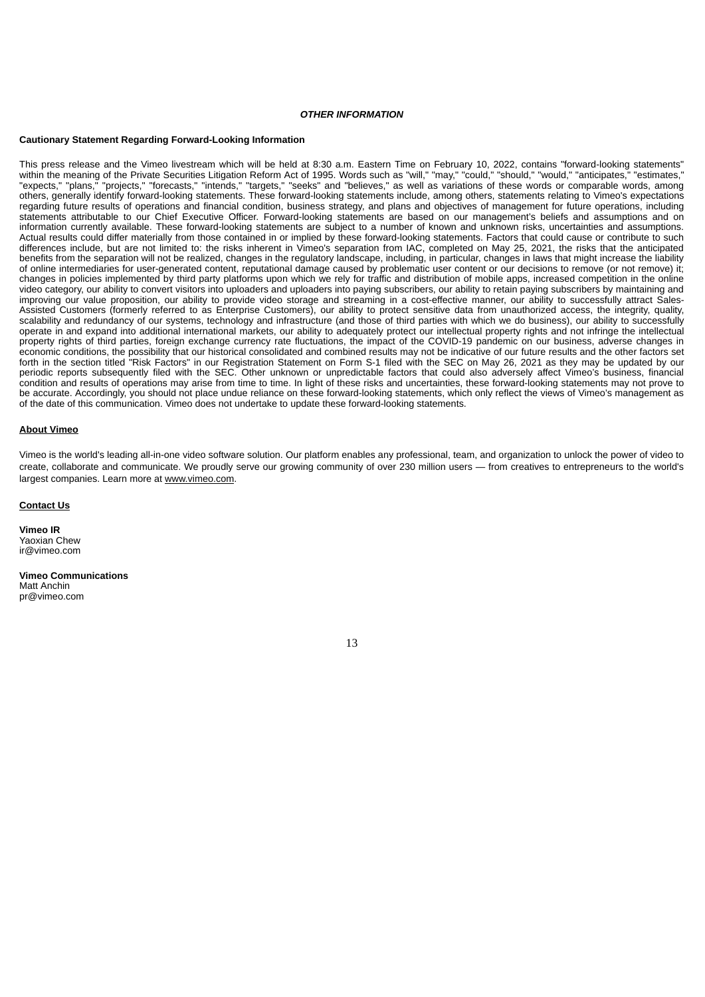### *OTHER INFORMATION*

#### **Cautionary Statement Regarding Forward-Looking Information**

This press release and the Vimeo livestream which will be held at 8:30 a.m. Eastern Time on February 10, 2022, contains "forward-looking statements" within the meaning of the Private Securities Litigation Reform Act of 1995. Words such as "will," "may," "could," "should," "would," "anticipates," "estimates," "expects," "plans," "projects," "forecasts," "intends," "targets," "seeks" and "believes," as well as variations of these words or comparable words, among others, generally identify forward-looking statements. These forward-looking statements include, among others, statements relating to Vimeo's expectations regarding future results of operations and financial condition, business strategy, and plans and objectives of management for future operations, including statements attributable to our Chief Executive Officer. Forward-looking statements are based on our management's beliefs and assumptions and on information currently available. These forward-looking statements are subject to a number of known and unknown risks, uncertainties and assumptions. Actual results could differ materially from those contained in or implied by these forward-looking statements. Factors that could cause or contribute to such differences include, but are not limited to: the risks inherent in Vimeo's separation from IAC, completed on May 25, 2021, the risks that the anticipated benefits from the separation will not be realized, changes in the regulatory landscape, including, in particular, changes in laws that might increase the liability of online intermediaries for user-generated content, reputational damage caused by problematic user content or our decisions to remove (or not remove) it; changes in policies implemented by third party platforms upon which we rely for traffic and distribution of mobile apps, increased competition in the online video category, our ability to convert visitors into uploaders and uploaders into paying subscribers, our ability to retain paying subscribers by maintaining and improving our value proposition, our ability to provide video storage and streaming in a cost-effective manner, our ability to successfully attract Sales-Assisted Customers (formerly referred to as Enterprise Customers), our ability to protect sensitive data from unauthorized access, the integrity, quality, scalability and redundancy of our systems, technology and infrastructure (and those of third parties with which we do business), our ability to successfully operate in and expand into additional international markets, our ability to adequately protect our intellectual property rights and not infringe the intellectual property rights of third parties, foreign exchange currency rate fluctuations, the impact of the COVID-19 pandemic on our business, adverse changes in economic conditions, the possibility that our historical consolidated and combined results may not be indicative of our future results and the other factors set forth in the section titled "Risk Factors" in our Registration Statement on Form S-1 filed with the SEC on May 26, 2021 as they may be updated by our periodic reports subsequently filed with the SEC. Other unknown or unpredictable factors that could also adversely affect Vimeo's business, financial condition and results of operations may arise from time to time. In light of these risks and uncertainties, these forward-looking statements may not prove to be accurate. Accordingly, you should not place undue reliance on these forward-looking statements, which only reflect the views of Vimeo's management as of the date of this communication. Vimeo does not undertake to update these forward-looking statements.

#### **About Vimeo**

Vimeo is the world's leading all-in-one video software solution. Our platform enables any professional, team, and organization to unlock the power of video to create, collaborate and communicate. We proudly serve our growing community of over 230 million users — from creatives to entrepreneurs to the world's largest companies. Learn more at www.vimeo.com.

#### **Contact Us**

**Vimeo IR** Yaoxian Chew ir@vimeo.com

**Vimeo Communications** Matt Anchin pr@vimeo.com

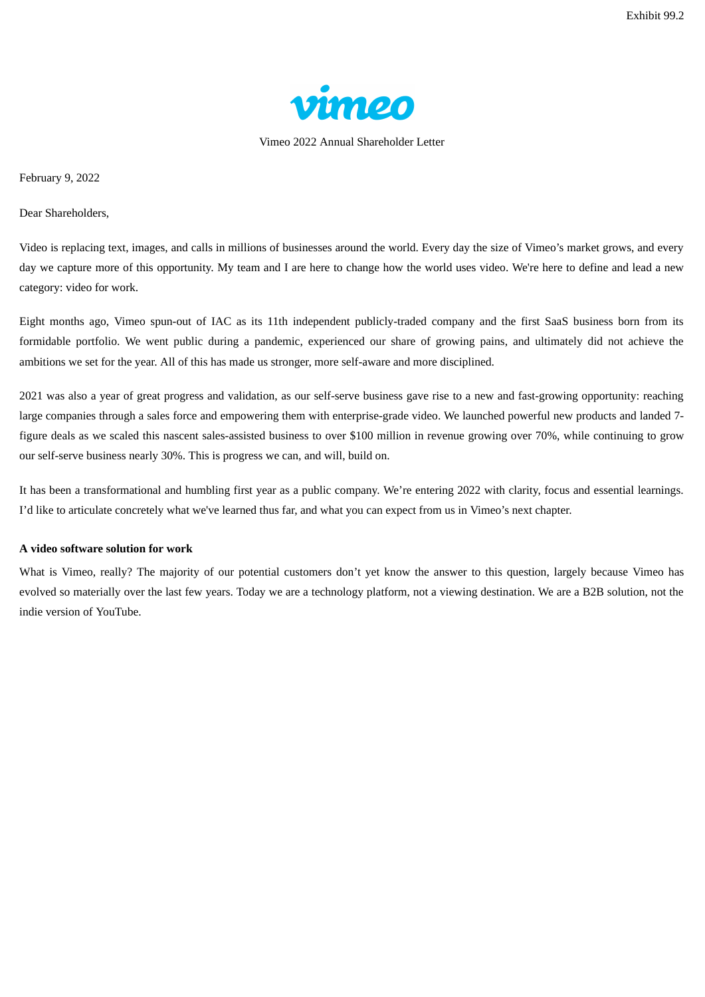

Vimeo 2022 Annual Shareholder Letter

February 9, 2022

Dear Shareholders,

Video is replacing text, images, and calls in millions of businesses around the world. Every day the size of Vimeo's market grows, and every day we capture more of this opportunity. My team and I are here to change how the world uses video. We're here to define and lead a new category: video for work.

Eight months ago, Vimeo spun-out of IAC as its 11th independent publicly-traded company and the first SaaS business born from its formidable portfolio. We went public during a pandemic, experienced our share of growing pains, and ultimately did not achieve the ambitions we set for the year. All of this has made us stronger, more self-aware and more disciplined.

2021 was also a year of great progress and validation, as our self-serve business gave rise to a new and fast-growing opportunity: reaching large companies through a sales force and empowering them with enterprise-grade video. We launched powerful new products and landed 7 figure deals as we scaled this nascent sales-assisted business to over \$100 million in revenue growing over 70%, while continuing to grow our self-serve business nearly 30%. This is progress we can, and will, build on.

It has been a transformational and humbling first year as a public company. We're entering 2022 with clarity, focus and essential learnings. I'd like to articulate concretely what we've learned thus far, and what you can expect from us in Vimeo's next chapter.

# **A video software solution for work**

What is Vimeo, really? The majority of our potential customers don't yet know the answer to this question, largely because Vimeo has evolved so materially over the last few years. Today we are a technology platform, not a viewing destination. We are a B2B solution, not the indie version of YouTube.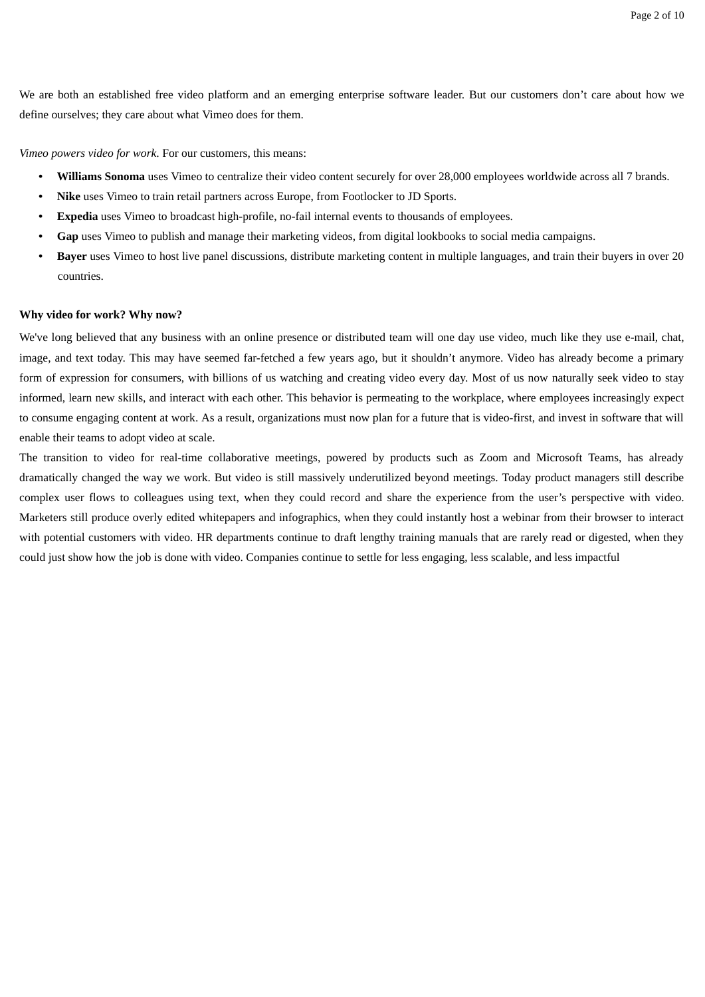We are both an established free video platform and an emerging enterprise software leader. But our customers don't care about how we define ourselves; they care about what Vimeo does for them.

*Vimeo powers video for work*. For our customers, this means:

- **Williams Sonoma** uses Vimeo to centralize their video content securely for over 28,000 employees worldwide across all 7 brands.
- **Nike** uses Vimeo to train retail partners across Europe, from Footlocker to JD Sports.
- **Expedia** uses Vimeo to broadcast high-profile, no-fail internal events to thousands of employees.
- **Gap** uses Vimeo to publish and manage their marketing videos, from digital lookbooks to social media campaigns.
- **Bayer** uses Vimeo to host live panel discussions, distribute marketing content in multiple languages, and train their buyers in over 20 countries.

# **Why video for work? Why now?**

We've long believed that any business with an online presence or distributed team will one day use video, much like they use e-mail, chat, image, and text today. This may have seemed far-fetched a few years ago, but it shouldn't anymore. Video has already become a primary form of expression for consumers, with billions of us watching and creating video every day. Most of us now naturally seek video to stay informed, learn new skills, and interact with each other. This behavior is permeating to the workplace, where employees increasingly expect to consume engaging content at work. As a result, organizations must now plan for a future that is video-first, and invest in software that will enable their teams to adopt video at scale.

The transition to video for real-time collaborative meetings, powered by products such as Zoom and Microsoft Teams, has already dramatically changed the way we work. But video is still massively underutilized beyond meetings. Today product managers still describe complex user flows to colleagues using text, when they could record and share the experience from the user's perspective with video. Marketers still produce overly edited whitepapers and infographics, when they could instantly host a webinar from their browser to interact with potential customers with video. HR departments continue to draft lengthy training manuals that are rarely read or digested, when they could just show how the job is done with video. Companies continue to settle for less engaging, less scalable, and less impactful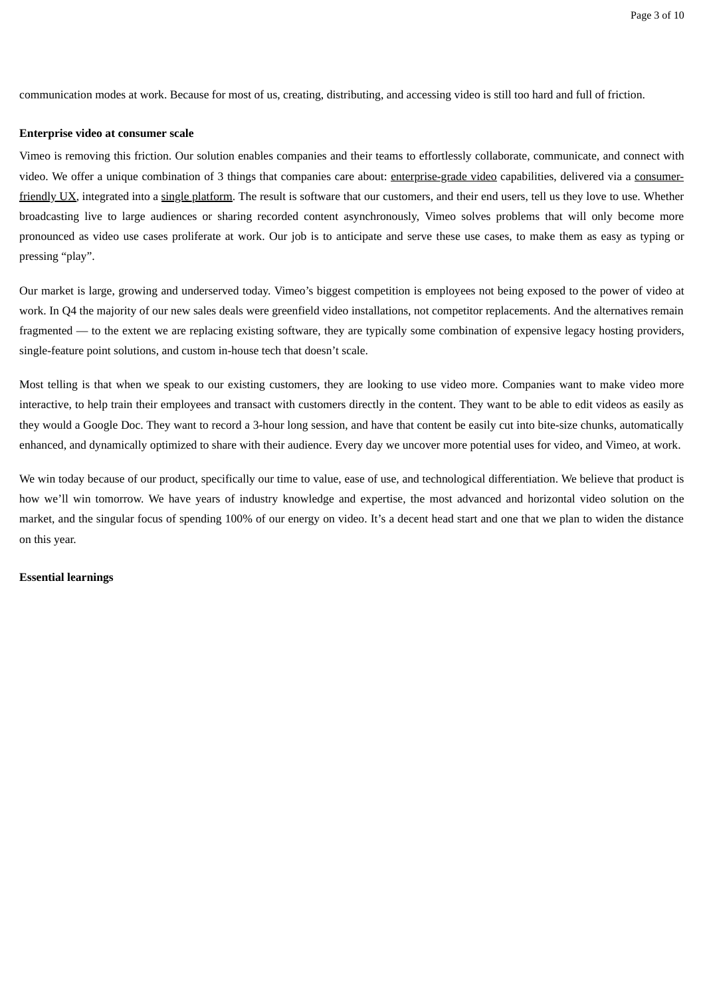communication modes at work. Because for most of us, creating, distributing, and accessing video is still too hard and full of friction.

## **Enterprise video at consumer scale**

Vimeo is removing this friction. Our solution enables companies and their teams to effortlessly collaborate, communicate, and connect with video. We offer a unique combination of 3 things that companies care about: enterprise-grade video capabilities, delivered via a consumerfriendly UX, integrated into a single platform. The result is software that our customers, and their end users, tell us they love to use. Whether broadcasting live to large audiences or sharing recorded content asynchronously, Vimeo solves problems that will only become more pronounced as video use cases proliferate at work. Our job is to anticipate and serve these use cases, to make them as easy as typing or pressing "play".

Our market is large, growing and underserved today. Vimeo's biggest competition is employees not being exposed to the power of video at work. In Q4 the majority of our new sales deals were greenfield video installations, not competitor replacements. And the alternatives remain fragmented — to the extent we are replacing existing software, they are typically some combination of expensive legacy hosting providers, single-feature point solutions, and custom in-house tech that doesn't scale.

Most telling is that when we speak to our existing customers, they are looking to use video more. Companies want to make video more interactive, to help train their employees and transact with customers directly in the content. They want to be able to edit videos as easily as they would a Google Doc. They want to record a 3-hour long session, and have that content be easily cut into bite-size chunks, automatically enhanced, and dynamically optimized to share with their audience. Every day we uncover more potential uses for video, and Vimeo, at work.

We win today because of our product, specifically our time to value, ease of use, and technological differentiation. We believe that product is how we'll win tomorrow. We have years of industry knowledge and expertise, the most advanced and horizontal video solution on the market, and the singular focus of spending 100% of our energy on video. It's a decent head start and one that we plan to widen the distance on this year.

## **Essential learnings**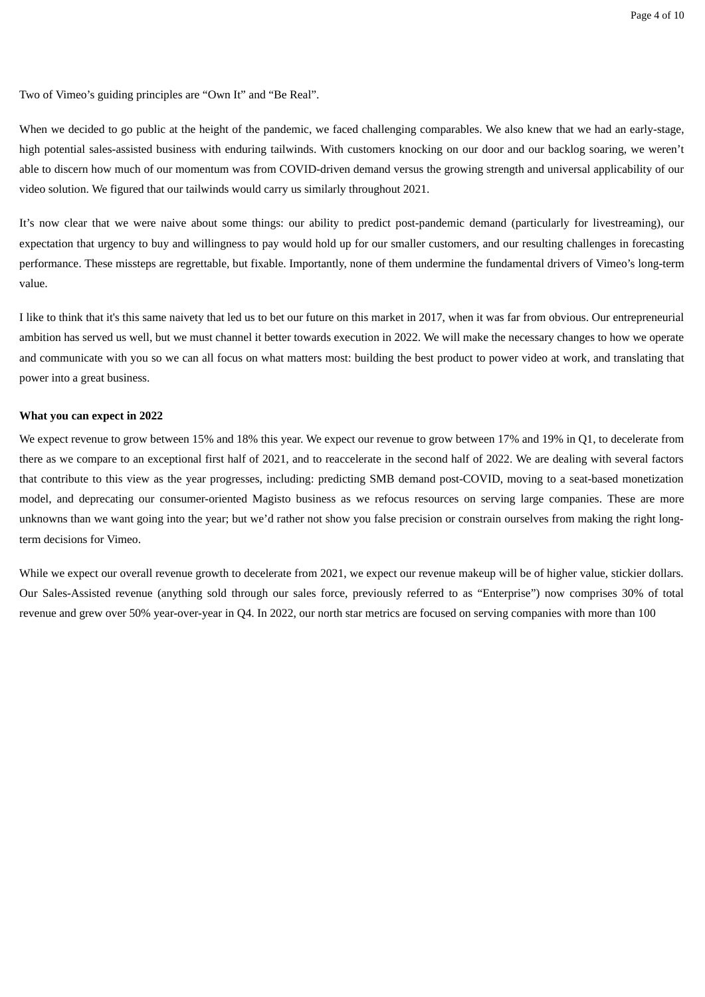Two of Vimeo's guiding principles are "Own It" and "Be Real".

When we decided to go public at the height of the pandemic, we faced challenging comparables. We also knew that we had an early-stage, high potential sales-assisted business with enduring tailwinds. With customers knocking on our door and our backlog soaring, we weren't able to discern how much of our momentum was from COVID-driven demand versus the growing strength and universal applicability of our video solution. We figured that our tailwinds would carry us similarly throughout 2021.

It's now clear that we were naive about some things: our ability to predict post-pandemic demand (particularly for livestreaming), our expectation that urgency to buy and willingness to pay would hold up for our smaller customers, and our resulting challenges in forecasting performance. These missteps are regrettable, but fixable. Importantly, none of them undermine the fundamental drivers of Vimeo's long-term value.

I like to think that it's this same naivety that led us to bet our future on this market in 2017, when it was far from obvious. Our entrepreneurial ambition has served us well, but we must channel it better towards execution in 2022. We will make the necessary changes to how we operate and communicate with you so we can all focus on what matters most: building the best product to power video at work, and translating that power into a great business.

# **What you can expect in 2022**

We expect revenue to grow between 15% and 18% this year. We expect our revenue to grow between 17% and 19% in Q1, to decelerate from there as we compare to an exceptional first half of 2021, and to reaccelerate in the second half of 2022. We are dealing with several factors that contribute to this view as the year progresses, including: predicting SMB demand post-COVID, moving to a seat-based monetization model, and deprecating our consumer-oriented Magisto business as we refocus resources on serving large companies. These are more unknowns than we want going into the year; but we'd rather not show you false precision or constrain ourselves from making the right longterm decisions for Vimeo.

While we expect our overall revenue growth to decelerate from 2021, we expect our revenue makeup will be of higher value, stickier dollars. Our Sales-Assisted revenue (anything sold through our sales force, previously referred to as "Enterprise") now comprises 30% of total revenue and grew over 50% year-over-year in Q4. In 2022, our north star metrics are focused on serving companies with more than 100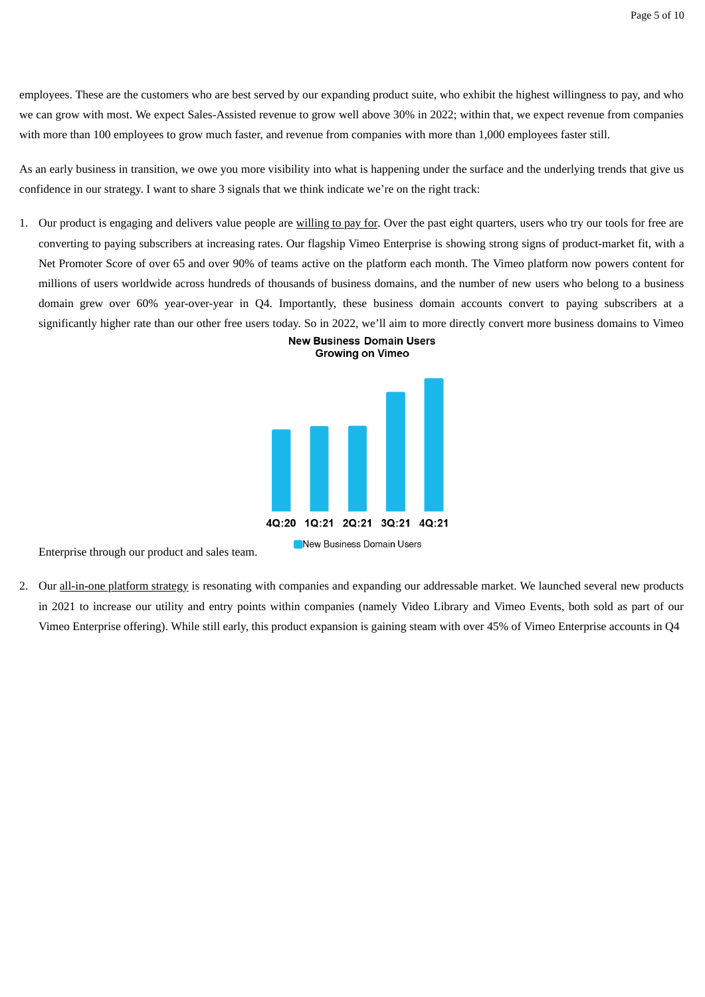employees. These are the customers who are best served by our expanding product suite, who exhibit the highest willingness to pay, and who we can grow with most. We expect Sales-Assisted revenue to grow well above 30% in 2022; within that, we expect revenue from companies with more than 100 employees to grow much faster, and revenue from companies with more than 1,000 employees faster still.

As an early business in transition, we owe you more visibility into what is happening under the surface and the underlying trends that give us confidence in our strategy. I want to share 3 signals that we think indicate we're on the right track:

1. Our product is engaging and delivers value people are willing to pay for. Over the past eight quarters, users who try our tools for free are converting to paying subscribers at increasing rates. Our flagship Vimeo Enterprise is showing strong signs of product-market fit, with a Net Promoter Score of over 65 and over 90% of teams active on the platform each month. The Vimeo platform now powers content for millions of users worldwide across hundreds of thousands of business domains, and the number of new users who belong to a business domain grew over 60% year-over-year in Q4. Importantly, these business domain accounts convert to paying subscribers at a significantly higher rate than our other free users today. So in 2022, we'll aim to more directly convert more business domains to Vimeo





Enterprise through our product and sales team.

2. Our all-in-one platform strategy is resonating with companies and expanding our addressable market. We launched several new products in 2021 to increase our utility and entry points within companies (namely Video Library and Vimeo Events, both sold as part of our Vimeo Enterprise offering). While still early, this product expansion is gaining steam with over 45% of Vimeo Enterprise accounts in Q4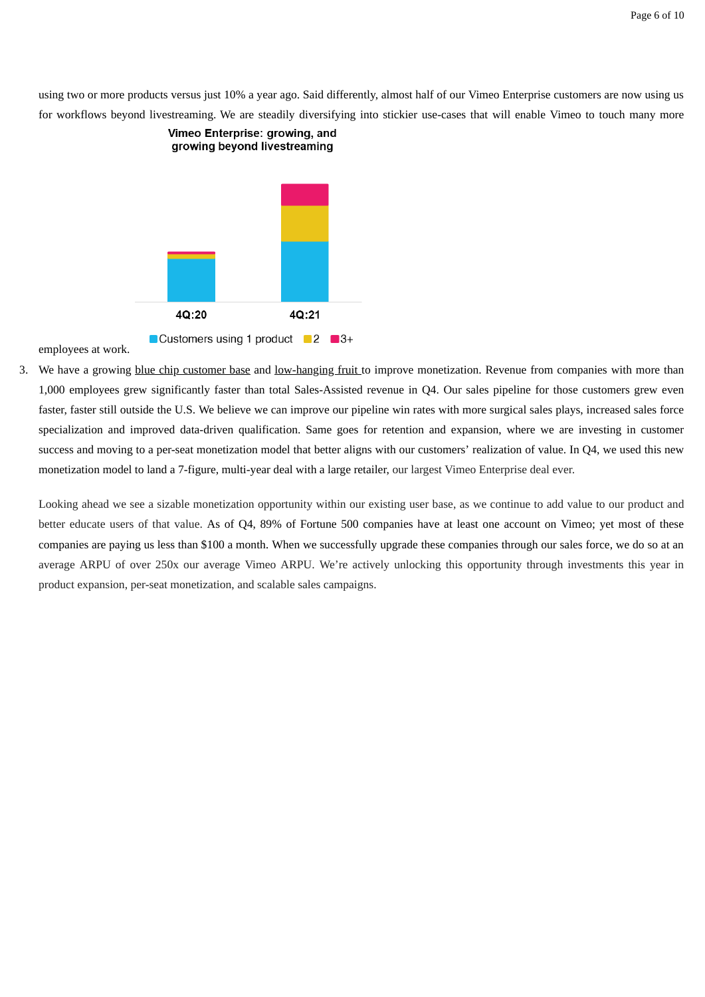using two or more products versus just 10% a year ago. Said differently, almost half of our Vimeo Enterprise customers are now using us for workflows beyond livestreaming. We are steadily diversifying into stickier use-cases that will enable Vimeo to touch many more



employees at work.

3. We have a growing blue chip customer base and low-hanging fruit to improve monetization. Revenue from companies with more than 1,000 employees grew significantly faster than total Sales-Assisted revenue in Q4. Our sales pipeline for those customers grew even faster, faster still outside the U.S. We believe we can improve our pipeline win rates with more surgical sales plays, increased sales force specialization and improved data-driven qualification. Same goes for retention and expansion, where we are investing in customer success and moving to a per-seat monetization model that better aligns with our customers' realization of value. In Q4, we used this new monetization model to land a 7-figure, multi-year deal with a large retailer, our largest Vimeo Enterprise deal ever.

Looking ahead we see a sizable monetization opportunity within our existing user base, as we continue to add value to our product and better educate users of that value. As of Q4, 89% of Fortune 500 companies have at least one account on Vimeo; yet most of these companies are paying us less than \$100 a month. When we successfully upgrade these companies through our sales force, we do so at an average ARPU of over 250x our average Vimeo ARPU. We're actively unlocking this opportunity through investments this year in product expansion, per-seat monetization, and scalable sales campaigns.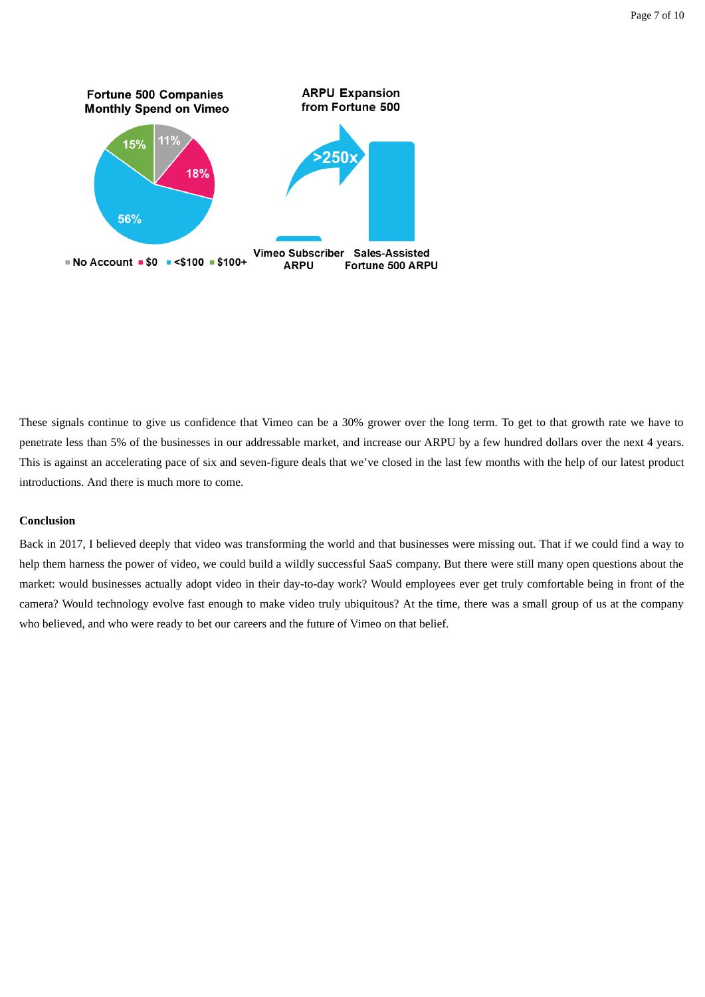

These signals continue to give us confidence that Vimeo can be a 30% grower over the long term. To get to that growth rate we have to penetrate less than 5% of the businesses in our addressable market, and increase our ARPU by a few hundred dollars over the next 4 years. This is against an accelerating pace of six and seven-figure deals that we've closed in the last few months with the help of our latest product introductions. And there is much more to come.

# **Conclusion**

Back in 2017, I believed deeply that video was transforming the world and that businesses were missing out. That if we could find a way to help them harness the power of video, we could build a wildly successful SaaS company. But there were still many open questions about the market: would businesses actually adopt video in their day-to-day work? Would employees ever get truly comfortable being in front of the camera? Would technology evolve fast enough to make video truly ubiquitous? At the time, there was a small group of us at the company who believed, and who were ready to bet our careers and the future of Vimeo on that belief.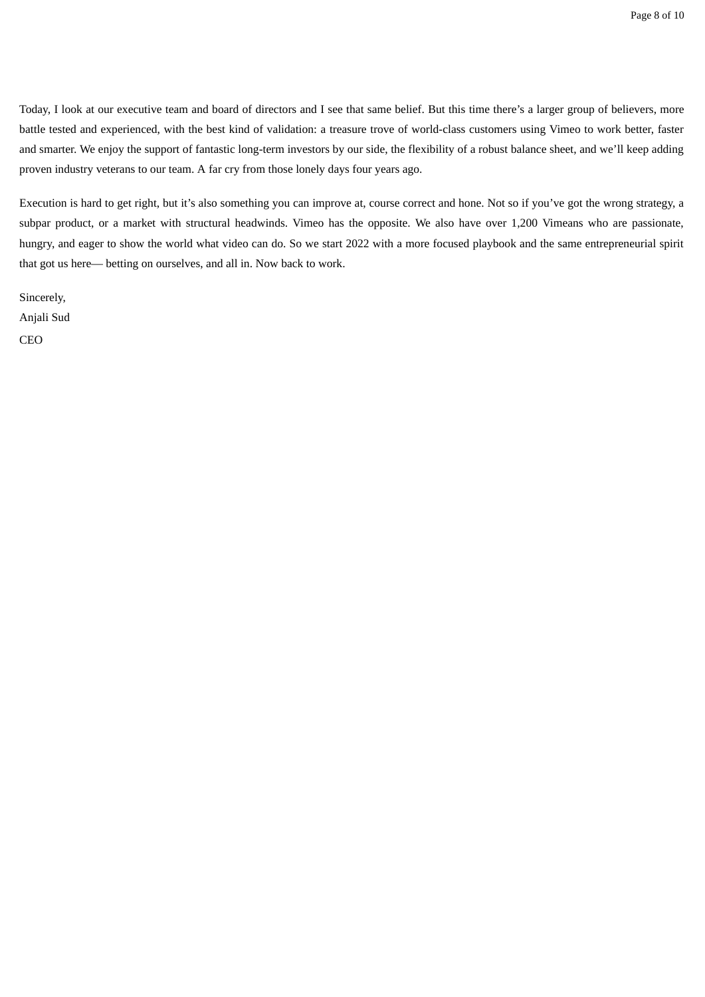Today, I look at our executive team and board of directors and I see that same belief. But this time there's a larger group of believers, more battle tested and experienced, with the best kind of validation: a treasure trove of world-class customers using Vimeo to work better, faster and smarter. We enjoy the support of fantastic long-term investors by our side, the flexibility of a robust balance sheet, and we'll keep adding proven industry veterans to our team. A far cry from those lonely days four years ago.

Execution is hard to get right, but it's also something you can improve at, course correct and hone. Not so if you've got the wrong strategy, a subpar product, or a market with structural headwinds. Vimeo has the opposite. We also have over 1,200 Vimeans who are passionate, hungry, and eager to show the world what video can do. So we start 2022 with a more focused playbook and the same entrepreneurial spirit that got us here— betting on ourselves, and all in. Now back to work.

Sincerely, Anjali Sud CEO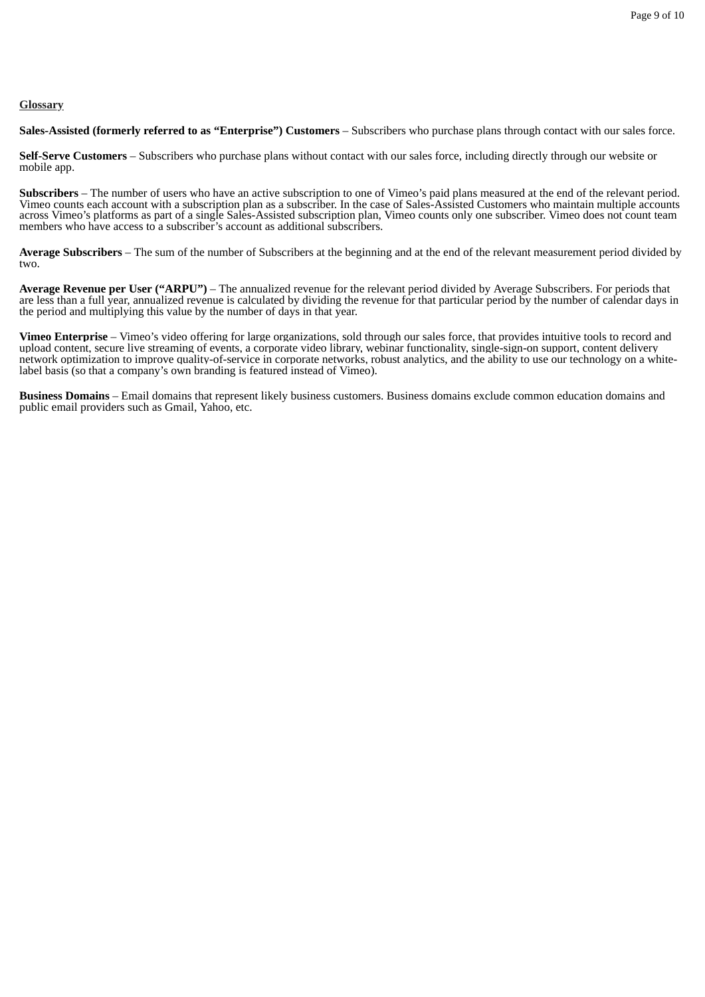# **Glossary**

**Sales-Assisted (formerly referred to as "Enterprise") Customers** – Subscribers who purchase plans through contact with our sales force.

**Self-Serve Customers** – Subscribers who purchase plans without contact with our sales force, including directly through our website or mobile app.

**Subscribers** – The number of users who have an active subscription to one of Vimeo's paid plans measured at the end of the relevant period. Vimeo counts each account with a subscription plan as a subscriber. In the case of Sales-Assisted Customers who maintain multiple accounts across Vimeo's platforms as part of a single Sales-Assisted subscription plan, Vimeo counts only one subscriber. Vimeo does not count team members who have access to a subscriber's account as additional subscribers.

**Average Subscribers** – The sum of the number of Subscribers at the beginning and at the end of the relevant measurement period divided by two.

**Average Revenue per User ("ARPU")** – The annualized revenue for the relevant period divided by Average Subscribers. For periods that are less than a full year, annualized revenue is calculated by dividing the revenue for that particular period by the number of calendar days in the period and multiplying this value by the number of days in that year.

**Vimeo Enterprise** – Vimeo's video offering for large organizations, sold through our sales force, that provides intuitive tools to record and upload content, secure live streaming of events, a corporate video library, webinar functionality, single-sign-on support, content delivery network optimization to improve quality-of-service in corporate networks, robust analytics, and the ability to use our technology on a whitelabel basis (so that a company's own branding is featured instead of Vimeo).

**Business Domains** – Email domains that represent likely business customers. Business domains exclude common education domains and public email providers such as Gmail, Yahoo, etc.